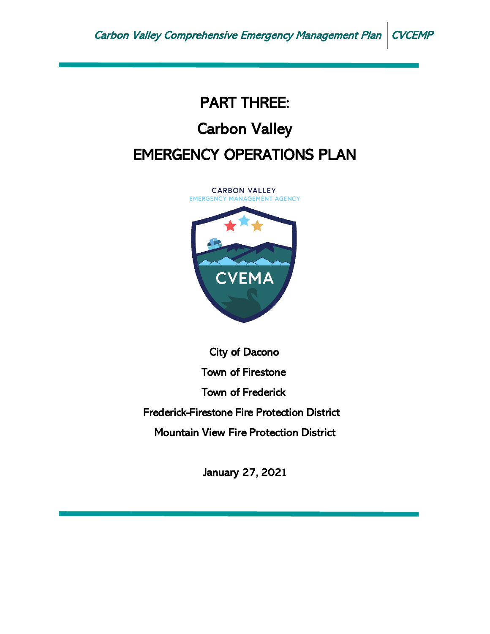# PART THREE: Carbon Valley EMERGENCY OPERATIONS PLAN

**CARBON VALLEY EMERGENCY MANAGEMENT AGENCY** 



City of Dacono Town of Firestone Town of Frederick Frederick-Firestone Fire Protection District Mountain View Fire Protection District

January 27, 2021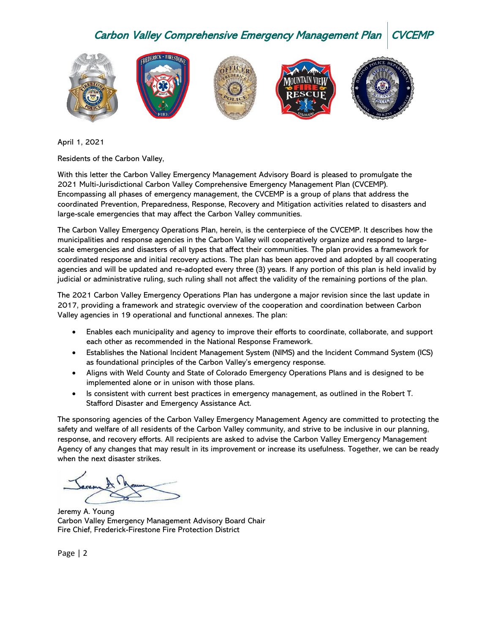

April 1, 2021

Residents of the Carbon Valley,

With this letter the Carbon Valley Emergency Management Advisory Board is pleased to promulgate the 2021 Multi-Jurisdictional Carbon Valley Comprehensive Emergency Management Plan (CVCEMP). Encompassing all phases of emergency management, the CVCEMP is a group of plans that address the coordinated Prevention, Preparedness, Response, Recovery and Mitigation activities related to disasters and large-scale emergencies that may affect the Carbon Valley communities.

The Carbon Valley Emergency Operations Plan, herein, is the centerpiece of the CVCEMP. It describes how the municipalities and response agencies in the Carbon Valley will cooperatively organize and respond to largescale emergencies and disasters of all types that affect their communities. The plan provides a framework for coordinated response and initial recovery actions. The plan has been approved and adopted by all cooperating agencies and will be updated and re-adopted every three (3) years. If any portion of this plan is held invalid by judicial or administrative ruling, such ruling shall not affect the validity of the remaining portions of the plan.

The 2021 Carbon Valley Emergency Operations Plan has undergone a major revision since the last update in 2017, providing a framework and strategic overview of the cooperation and coordination between Carbon Valley agencies in 19 operational and functional annexes. The plan:

- Enables each municipality and agency to improve their efforts to coordinate, collaborate, and support each other as recommended in the National Response Framework.
- Establishes the National Incident Management System (NIMS) and the Incident Command System (ICS) as foundational principles of the Carbon Valley's emergency response.
- Aligns with Weld County and State of Colorado Emergency Operations Plans and is designed to be implemented alone or in unison with those plans.
- Is consistent with current best practices in emergency management, as outlined in the Robert T. Stafford Disaster and Emergency Assistance Act.

The sponsoring agencies of the Carbon Valley Emergency Management Agency are committed to protecting the safety and welfare of all residents of the Carbon Valley community, and strive to be inclusive in our planning, response, and recovery efforts. All recipients are asked to advise the Carbon Valley Emergency Management Agency of any changes that may result in its improvement or increase its usefulness. Together, we can be ready when the next disaster strikes.

Jeremy A. Young Carbon Valley Emergency Management Advisory Board Chair Fire Chief, Frederick-Firestone Fire Protection District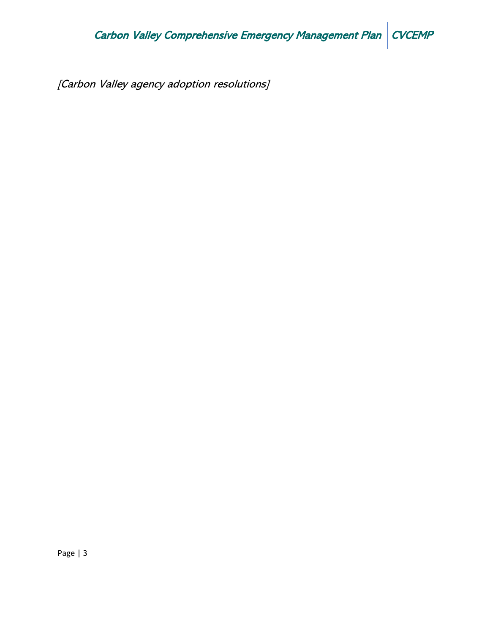[Carbon Valley agency adoption resolutions]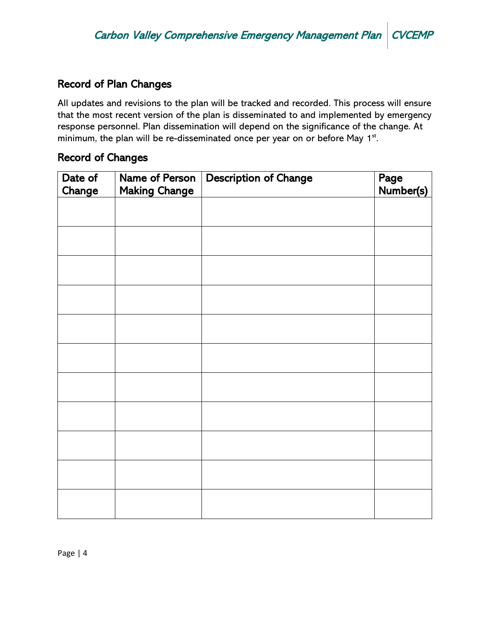# Record of Plan Changes

All updates and revisions to the plan will be tracked and recorded. This process will ensure that the most recent version of the plan is disseminated to and implemented by emergency response personnel. Plan dissemination will depend on the significance of the change. At minimum, the plan will be re-disseminated once per year on or before May 1<sup>st</sup>.

## Record of Changes

| Date of<br>Change | Name of Person<br><b>Making Change</b> | <b>Description of Change</b> | Page<br>Number(s) |
|-------------------|----------------------------------------|------------------------------|-------------------|
|                   |                                        |                              |                   |
|                   |                                        |                              |                   |
|                   |                                        |                              |                   |
|                   |                                        |                              |                   |
|                   |                                        |                              |                   |
|                   |                                        |                              |                   |
|                   |                                        |                              |                   |
|                   |                                        |                              |                   |
|                   |                                        |                              |                   |
|                   |                                        |                              |                   |
|                   |                                        |                              |                   |
|                   |                                        |                              |                   |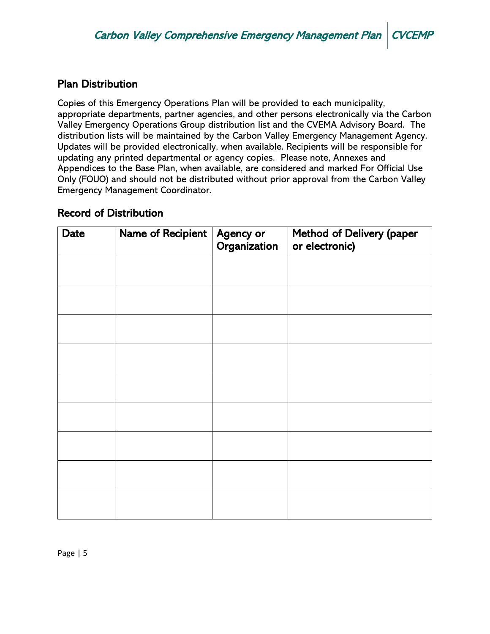# Plan Distribution

Copies of this Emergency Operations Plan will be provided to each municipality, appropriate departments, partner agencies, and other persons electronically via the Carbon Valley Emergency Operations Group distribution list and the CVEMA Advisory Board. The distribution lists will be maintained by the Carbon Valley Emergency Management Agency. Updates will be provided electronically, when available. Recipients will be responsible for updating any printed departmental or agency copies. Please note, Annexes and Appendices to the Base Plan, when available, are considered and marked For Official Use Only (FOUO) and should not be distributed without prior approval from the Carbon Valley Emergency Management Coordinator.

## Record of Distribution

| Date | Name of Recipient | Agency or<br>Organization | <b>Method of Delivery (paper</b><br>or electronic) |
|------|-------------------|---------------------------|----------------------------------------------------|
|      |                   |                           |                                                    |
|      |                   |                           |                                                    |
|      |                   |                           |                                                    |
|      |                   |                           |                                                    |
|      |                   |                           |                                                    |
|      |                   |                           |                                                    |
|      |                   |                           |                                                    |
|      |                   |                           |                                                    |
|      |                   |                           |                                                    |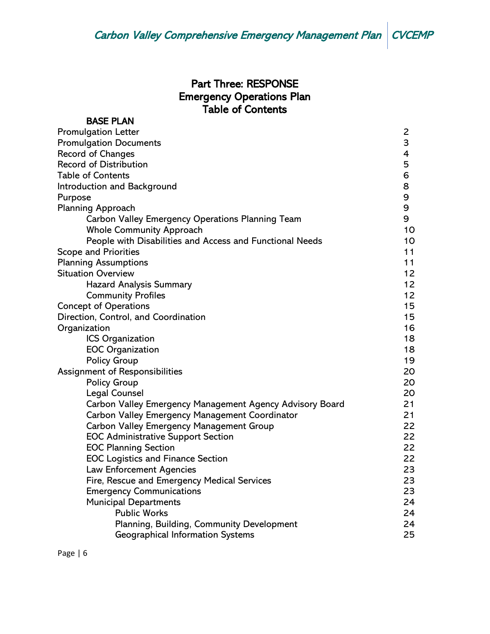# Part Three: RESPONSE Emergency Operations Plan Table of Contents

| <b>BASE PLAN</b>                                         |                |
|----------------------------------------------------------|----------------|
| <b>Promulgation Letter</b>                               | $\overline{c}$ |
| <b>Promulgation Documents</b>                            | 3              |
| Record of Changes                                        | 4              |
| <b>Record of Distribution</b>                            | 5              |
| <b>Table of Contents</b>                                 | 6              |
| Introduction and Background                              | 8              |
| Purpose                                                  | 9              |
| <b>Planning Approach</b>                                 | 9              |
| Carbon Valley Emergency Operations Planning Team         | 9              |
| <b>Whole Community Approach</b>                          | 10             |
| People with Disabilities and Access and Functional Needs | 10             |
| <b>Scope and Priorities</b>                              | 11             |
| <b>Planning Assumptions</b>                              | 11             |
| <b>Situation Overview</b>                                | 12             |
| <b>Hazard Analysis Summary</b>                           | 12             |
| <b>Community Profiles</b>                                | 12             |
| <b>Concept of Operations</b>                             | 15             |
| Direction, Control, and Coordination                     | 15             |
| Organization                                             | 16             |
| ICS Organization                                         | 18             |
| <b>EOC Organization</b>                                  | 18             |
| <b>Policy Group</b>                                      | 19             |
| Assignment of Responsibilities                           | 20             |
| <b>Policy Group</b>                                      | 20             |
| <b>Legal Counsel</b>                                     | 20             |
| Carbon Valley Emergency Management Agency Advisory Board | 21             |
| Carbon Valley Emergency Management Coordinator           | 21             |
| Carbon Valley Emergency Management Group                 | 22             |
| <b>EOC Administrative Support Section</b>                | 22             |
| <b>EOC Planning Section</b>                              | 22             |
| <b>EOC Logistics and Finance Section</b>                 | 22             |
| <b>Law Enforcement Agencies</b>                          | 23             |
| Fire, Rescue and Emergency Medical Services              | 23             |
| <b>Emergency Communications</b>                          | 23             |
| <b>Municipal Departments</b>                             | 24             |
| <b>Public Works</b>                                      | 24             |
| Planning, Building, Community Development                | 24             |
| <b>Geographical Information Systems</b>                  | 25             |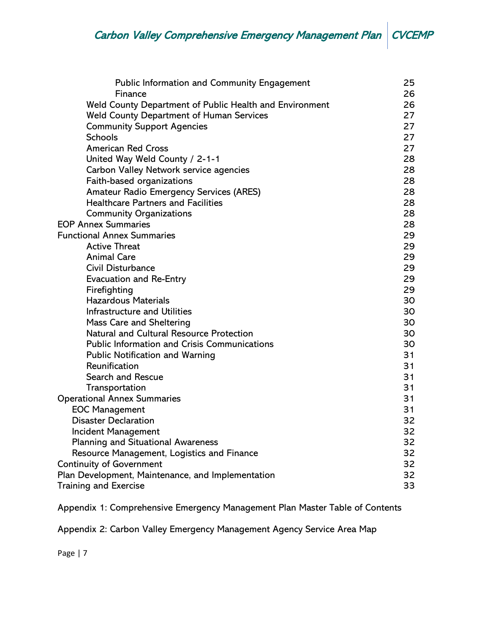| <b>Public Information and Community Engagement</b>                 | 25<br>26 |
|--------------------------------------------------------------------|----------|
| Finance<br>Weld County Department of Public Health and Environment | 26       |
| <b>Weld County Department of Human Services</b>                    | 27       |
| <b>Community Support Agencies</b>                                  | 27       |
| <b>Schools</b>                                                     | 27       |
| <b>American Red Cross</b>                                          | 27       |
| United Way Weld County / 2-1-1                                     | 28       |
| Carbon Valley Network service agencies                             | 28       |
| Faith-based organizations                                          | 28       |
| <b>Amateur Radio Emergency Services (ARES)</b>                     | 28       |
| <b>Healthcare Partners and Facilities</b>                          | 28       |
|                                                                    | 28       |
| <b>Community Organizations</b><br><b>EOP Annex Summaries</b>       | 28       |
| <b>Functional Annex Summaries</b>                                  | 29       |
| <b>Active Threat</b>                                               | 29       |
| <b>Animal Care</b>                                                 | 29       |
| Civil Disturbance                                                  | 29       |
|                                                                    | 29       |
| <b>Evacuation and Re-Entry</b>                                     | 29       |
| Firefighting<br><b>Hazardous Materials</b>                         |          |
|                                                                    | 30       |
| Infrastructure and Utilities                                       | 30       |
| Mass Care and Sheltering                                           | 30       |
| Natural and Cultural Resource Protection                           | 30       |
| <b>Public Information and Crisis Communications</b>                | 30       |
| <b>Public Notification and Warning</b>                             | 31       |
| Reunification                                                      | 31       |
| <b>Search and Rescue</b>                                           | 31       |
| Transportation                                                     | 31       |
| <b>Operational Annex Summaries</b>                                 | 31       |
| <b>EOC Management</b>                                              | 31       |
| <b>Disaster Declaration</b>                                        | 32       |
| Incident Management                                                | 32       |
| <b>Planning and Situational Awareness</b>                          | 32       |
| Resource Management, Logistics and Finance                         | 32       |
| <b>Continuity of Government</b>                                    | 32       |
| Plan Development, Maintenance, and Implementation                  | 32       |
| <b>Training and Exercise</b>                                       | 33       |

Appendix 1: Comprehensive Emergency Management Plan Master Table of Contents

Appendix 2: Carbon Valley Emergency Management Agency Service Area Map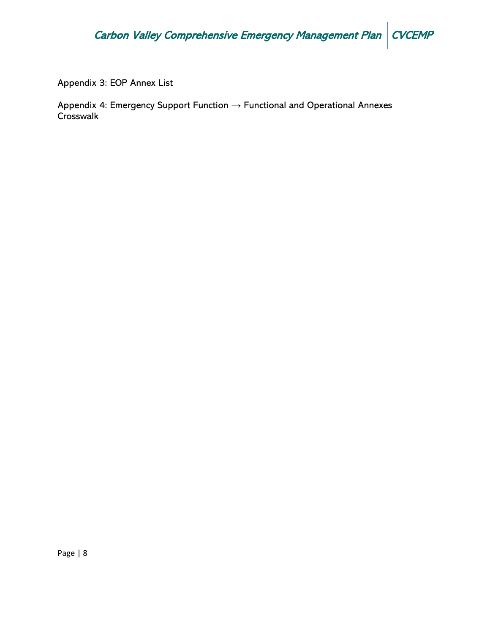Appendix 3: EOP Annex List

Appendix 4: Emergency Support Function → Functional and Operational Annexes **Crosswalk**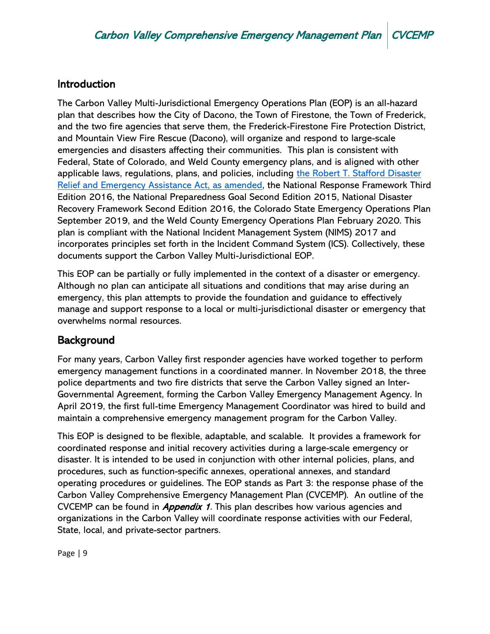# **Introduction**

The Carbon Valley Multi-Jurisdictional Emergency Operations Plan (EOP) is an all-hazard plan that describes how the City of Dacono, the Town of Firestone, the Town of Frederick, and the two fire agencies that serve them, the Frederick-Firestone Fire Protection District, and Mountain View Fire Rescue (Dacono), will organize and respond to large-scale emergencies and disasters affecting their communities. This plan is consistent with Federal, State of Colorado, and Weld County emergency plans, and is aligned with other applicable laws, regulations, plans, and policies, including [the Robert T. Stafford Disaster](https://www.fema.gov/media-library-data/1582133514823-be4368438bd042e3b60f5cec6b377d17/Stafford_June_2019_508.pdf)  [Relief and Emergency Assistance Act, as amended,](https://www.fema.gov/media-library-data/1582133514823-be4368438bd042e3b60f5cec6b377d17/Stafford_June_2019_508.pdf) the National Response Framework Third Edition 2016, the National Preparedness Goal Second Edition 2015, National Disaster Recovery Framework Second Edition 2016, the Colorado State Emergency Operations Plan September 2019, and the Weld County Emergency Operations Plan February 2020. This plan is compliant with the National Incident Management System (NIMS) 2017 and incorporates principles set forth in the Incident Command System (ICS). Collectively, these documents support the Carbon Valley Multi-Jurisdictional EOP.

This EOP can be partially or fully implemented in the context of a disaster or emergency. Although no plan can anticipate all situations and conditions that may arise during an emergency, this plan attempts to provide the foundation and guidance to effectively manage and support response to a local or multi-jurisdictional disaster or emergency that overwhelms normal resources.

# Background

For many years, Carbon Valley first responder agencies have worked together to perform emergency management functions in a coordinated manner. In November 2018, the three police departments and two fire districts that serve the Carbon Valley signed an Inter-Governmental Agreement, forming the Carbon Valley Emergency Management Agency. In April 2019, the first full-time Emergency Management Coordinator was hired to build and maintain a comprehensive emergency management program for the Carbon Valley.

This EOP is designed to be flexible, adaptable, and scalable. It provides a framework for coordinated response and initial recovery activities during a large-scale emergency or disaster. It is intended to be used in conjunction with other internal policies, plans, and procedures, such as function-specific annexes, operational annexes, and standard operating procedures or guidelines. The EOP stands as Part 3: the response phase of the Carbon Valley Comprehensive Emergency Management Plan (CVCEMP). An outline of the CVCEMP can be found in *Appendix 1*. This plan describes how various agencies and organizations in the Carbon Valley will coordinate response activities with our Federal, State, local, and private-sector partners.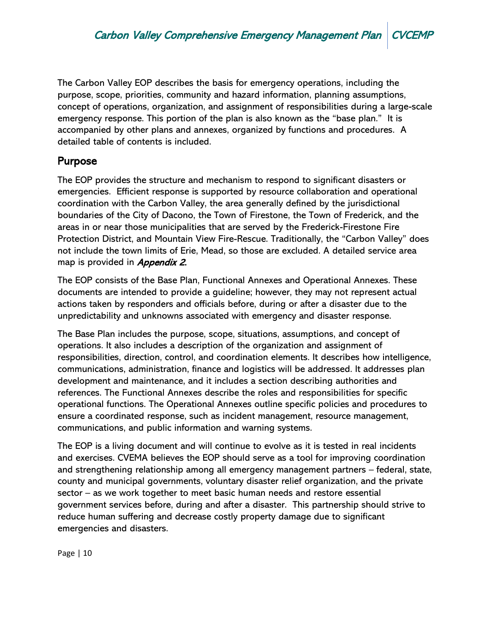The Carbon Valley EOP describes the basis for emergency operations, including the purpose, scope, priorities, community and hazard information, planning assumptions, concept of operations, organization, and assignment of responsibilities during a large-scale emergency response. This portion of the plan is also known as the "base plan." It is accompanied by other plans and annexes, organized by functions and procedures. A detailed table of contents is included.

# Purpose

The EOP provides the structure and mechanism to respond to significant disasters or emergencies. Efficient response is supported by resource collaboration and operational coordination with the Carbon Valley, the area generally defined by the jurisdictional boundaries of the City of Dacono, the Town of Firestone, the Town of Frederick, and the areas in or near those municipalities that are served by the Frederick-Firestone Fire Protection District, and Mountain View Fire-Rescue. Traditionally, the "Carbon Valley" does not include the town limits of Erie, Mead, so those are excluded. A detailed service area map is provided in *Appendix 2*.

The EOP consists of the Base Plan, Functional Annexes and Operational Annexes. These documents are intended to provide a guideline; however, they may not represent actual actions taken by responders and officials before, during or after a disaster due to the unpredictability and unknowns associated with emergency and disaster response.

The Base Plan includes the purpose, scope, situations, assumptions, and concept of operations. It also includes a description of the organization and assignment of responsibilities, direction, control, and coordination elements. It describes how intelligence, communications, administration, finance and logistics will be addressed. It addresses plan development and maintenance, and it includes a section describing authorities and references. The Functional Annexes describe the roles and responsibilities for specific operational functions. The Operational Annexes outline specific policies and procedures to ensure a coordinated response, such as incident management, resource management, communications, and public information and warning systems.

The EOP is a living document and will continue to evolve as it is tested in real incidents and exercises. CVEMA believes the EOP should serve as a tool for improving coordination and strengthening relationship among all emergency management partners – federal, state, county and municipal governments, voluntary disaster relief organization, and the private sector – as we work together to meet basic human needs and restore essential government services before, during and after a disaster. This partnership should strive to reduce human suffering and decrease costly property damage due to significant emergencies and disasters.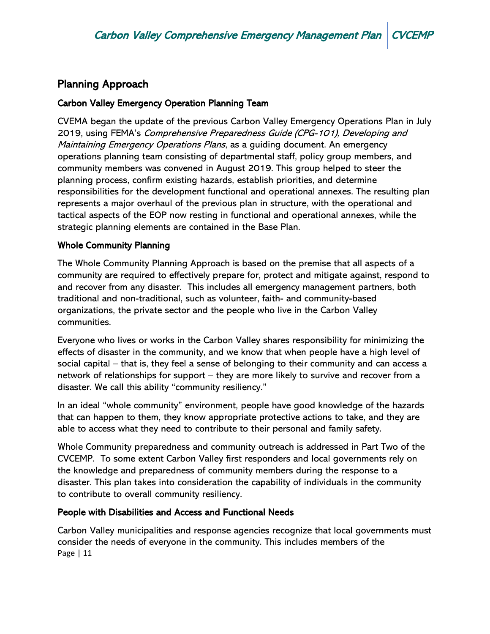# Planning Approach

## Carbon Valley Emergency Operation Planning Team

CVEMA began the update of the previous Carbon Valley Emergency Operations Plan in July 2019, using FEMA's Comprehensive Preparedness Guide (CPG-101), Developing and Maintaining Emergency Operations Plans, as a guiding document. An emergency operations planning team consisting of departmental staff, policy group members, and community members was convened in August 2019. This group helped to steer the planning process, confirm existing hazards, establish priorities, and determine responsibilities for the development functional and operational annexes. The resulting plan represents a major overhaul of the previous plan in structure, with the operational and tactical aspects of the EOP now resting in functional and operational annexes, while the strategic planning elements are contained in the Base Plan.

## Whole Community Planning

The Whole Community Planning Approach is based on the premise that all aspects of a community are required to effectively prepare for, protect and mitigate against, respond to and recover from any disaster. This includes all emergency management partners, both traditional and non-traditional, such as volunteer, faith- and community-based organizations, the private sector and the people who live in the Carbon Valley communities.

Everyone who lives or works in the Carbon Valley shares responsibility for minimizing the effects of disaster in the community, and we know that when people have a high level of social capital – that is, they feel a sense of belonging to their community and can access a network of relationships for support – they are more likely to survive and recover from a disaster. We call this ability "community resiliency."

In an ideal "whole community" environment, people have good knowledge of the hazards that can happen to them, they know appropriate protective actions to take, and they are able to access what they need to contribute to their personal and family safety.

Whole Community preparedness and community outreach is addressed in Part Two of the CVCEMP. To some extent Carbon Valley first responders and local governments rely on the knowledge and preparedness of community members during the response to a disaster. This plan takes into consideration the capability of individuals in the community to contribute to overall community resiliency.

## People with Disabilities and Access and Functional Needs

Page | 11 Carbon Valley municipalities and response agencies recognize that local governments must consider the needs of everyone in the community. This includes members of the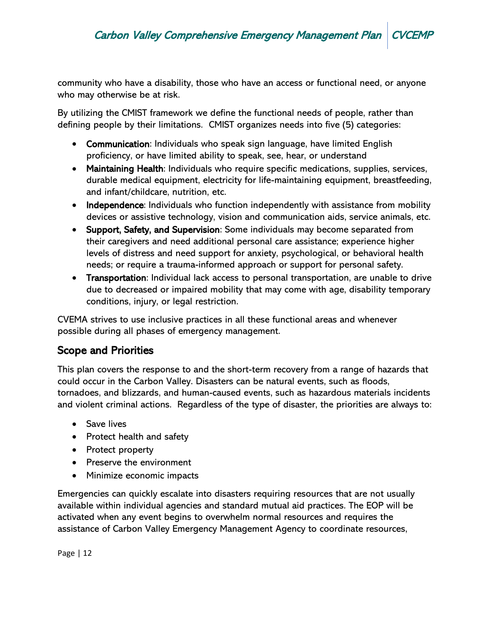community who have a disability, those who have an access or functional need, or anyone who may otherwise be at risk.

By utilizing the CMIST framework we define the functional needs of people, rather than defining people by their limitations. CMIST organizes needs into five (5) categories:

- Communication: Individuals who speak sign language, have limited English proficiency, or have limited ability to speak, see, hear, or understand
- Maintaining Health: Individuals who require specific medications, supplies, services, durable medical equipment, electricity for life-maintaining equipment, breastfeeding, and infant/childcare, nutrition, etc.
- Independence: Individuals who function independently with assistance from mobility devices or assistive technology, vision and communication aids, service animals, etc.
- Support, Safety, and Supervision: Some individuals may become separated from their caregivers and need additional personal care assistance; experience higher levels of distress and need support for anxiety, psychological, or behavioral health needs; or require a trauma-informed approach or support for personal safety.
- Transportation: Individual lack access to personal transportation, are unable to drive due to decreased or impaired mobility that may come with age, disability temporary conditions, injury, or legal restriction.

CVEMA strives to use inclusive practices in all these functional areas and whenever possible during all phases of emergency management.

# Scope and Priorities

This plan covers the response to and the short-term recovery from a range of hazards that could occur in the Carbon Valley. Disasters can be natural events, such as floods, tornadoes, and blizzards, and human-caused events, such as hazardous materials incidents and violent criminal actions. Regardless of the type of disaster, the priorities are always to:

- Save lives
- Protect health and safety
- Protect property
- Preserve the environment
- Minimize economic impacts

Emergencies can quickly escalate into disasters requiring resources that are not usually available within individual agencies and standard mutual aid practices. The EOP will be activated when any event begins to overwhelm normal resources and requires the assistance of Carbon Valley Emergency Management Agency to coordinate resources,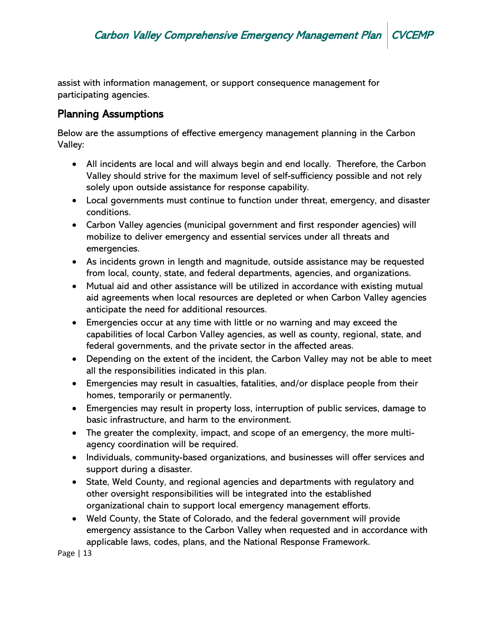assist with information management, or support consequence management for participating agencies.

# Planning Assumptions

Below are the assumptions of effective emergency management planning in the Carbon Valley:

- All incidents are local and will always begin and end locally. Therefore, the Carbon Valley should strive for the maximum level of self-sufficiency possible and not rely solely upon outside assistance for response capability.
- Local governments must continue to function under threat, emergency, and disaster conditions.
- Carbon Valley agencies (municipal government and first responder agencies) will mobilize to deliver emergency and essential services under all threats and emergencies.
- As incidents grown in length and magnitude, outside assistance may be requested from local, county, state, and federal departments, agencies, and organizations.
- Mutual aid and other assistance will be utilized in accordance with existing mutual aid agreements when local resources are depleted or when Carbon Valley agencies anticipate the need for additional resources.
- Emergencies occur at any time with little or no warning and may exceed the capabilities of local Carbon Valley agencies, as well as county, regional, state, and federal governments, and the private sector in the affected areas.
- Depending on the extent of the incident, the Carbon Valley may not be able to meet all the responsibilities indicated in this plan.
- Emergencies may result in casualties, fatalities, and/or displace people from their homes, temporarily or permanently.
- Emergencies may result in property loss, interruption of public services, damage to basic infrastructure, and harm to the environment.
- The greater the complexity, impact, and scope of an emergency, the more multiagency coordination will be required.
- Individuals, community-based organizations, and businesses will offer services and support during a disaster.
- State, Weld County, and regional agencies and departments with regulatory and other oversight responsibilities will be integrated into the established organizational chain to support local emergency management efforts.
- Weld County, the State of Colorado, and the federal government will provide emergency assistance to the Carbon Valley when requested and in accordance with applicable laws, codes, plans, and the National Response Framework.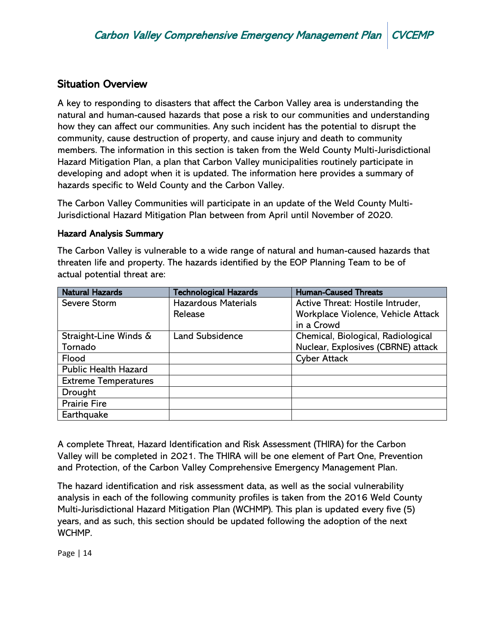# Situation Overview

A key to responding to disasters that affect the Carbon Valley area is understanding the natural and human-caused hazards that pose a risk to our communities and understanding how they can affect our communities. Any such incident has the potential to disrupt the community, cause destruction of property, and cause injury and death to community members. The information in this section is taken from the Weld County Multi-Jurisdictional Hazard Mitigation Plan, a plan that Carbon Valley municipalities routinely participate in developing and adopt when it is updated. The information here provides a summary of hazards specific to Weld County and the Carbon Valley.

The Carbon Valley Communities will participate in an update of the Weld County Multi-Jurisdictional Hazard Mitigation Plan between from April until November of 2020.

#### Hazard Analysis Summary

The Carbon Valley is vulnerable to a wide range of natural and human-caused hazards that threaten life and property. The hazards identified by the EOP Planning Team to be of actual potential threat are:

| <b>Natural Hazards</b>      | <b>Technological Hazards</b> | <b>Human-Caused Threats</b>        |
|-----------------------------|------------------------------|------------------------------------|
| Severe Storm                | <b>Hazardous Materials</b>   | Active Threat: Hostile Intruder,   |
|                             | Release                      | Workplace Violence, Vehicle Attack |
|                             |                              | in a Crowd                         |
| Straight-Line Winds &       | <b>Land Subsidence</b>       | Chemical, Biological, Radiological |
| Tornado                     |                              | Nuclear, Explosives (CBRNE) attack |
| Flood                       |                              | <b>Cyber Attack</b>                |
| <b>Public Health Hazard</b> |                              |                                    |
| <b>Extreme Temperatures</b> |                              |                                    |
| Drought                     |                              |                                    |
| <b>Prairie Fire</b>         |                              |                                    |
| Earthquake                  |                              |                                    |

A complete Threat, Hazard Identification and Risk Assessment (THIRA) for the Carbon Valley will be completed in 2021. The THIRA will be one element of Part One, Prevention and Protection, of the Carbon Valley Comprehensive Emergency Management Plan.

The hazard identification and risk assessment data, as well as the social vulnerability analysis in each of the following community profiles is taken from the 2016 Weld County Multi-Jurisdictional Hazard Mitigation Plan (WCHMP). This plan is updated every five (5) years, and as such, this section should be updated following the adoption of the next WCHMP.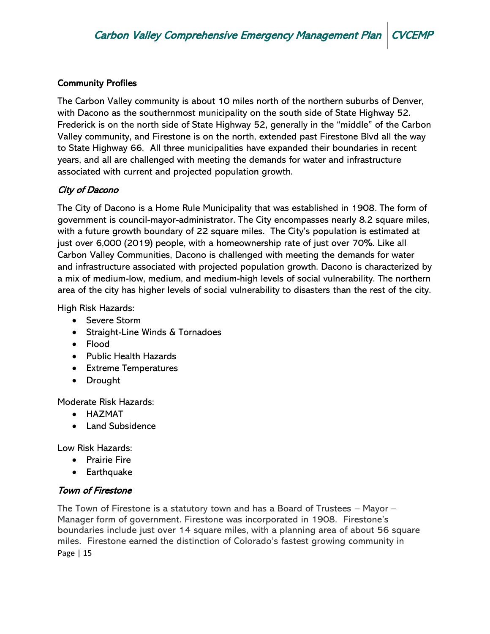## Community Profiles

The Carbon Valley community is about 10 miles north of the northern suburbs of Denver, with Dacono as the southernmost municipality on the south side of State Highway 52. Frederick is on the north side of State Highway 52, generally in the "middle" of the Carbon Valley community, and Firestone is on the north, extended past Firestone Blvd all the way to State Highway 66. All three municipalities have expanded their boundaries in recent years, and all are challenged with meeting the demands for water and infrastructure associated with current and projected population growth.

## City of Dacono

The City of Dacono is a Home Rule Municipality that was established in 1908. The form of government is council-mayor-administrator. The City encompasses nearly 8.2 square miles, with a future growth boundary of 22 square miles. The City's population is estimated at just over 6,000 (2019) people, with a homeownership rate of just over 70%. Like all Carbon Valley Communities, Dacono is challenged with meeting the demands for water and infrastructure associated with projected population growth. Dacono is characterized by a mix of medium-low, medium, and medium-high levels of social vulnerability. The northern area of the city has higher levels of social vulnerability to disasters than the rest of the city.

High Risk Hazards:

- Severe Storm
- Straight-Line Winds & Tornadoes
- Flood
- Public Health Hazards
- Extreme Temperatures
- Drought

Moderate Risk Hazards:

- HAZMAT
- Land Subsidence

Low Risk Hazards:

- Prairie Fire
- Earthquake

## Town of Firestone

Page | 15 The Town of Firestone is a statutory town and has a Board of Trustees – Mayor – Manager form of government. Firestone was incorporated in 1908. Firestone's boundaries include just over 14 square miles, with a planning area of about 56 square miles. Firestone earned the distinction of Colorado's fastest growing community in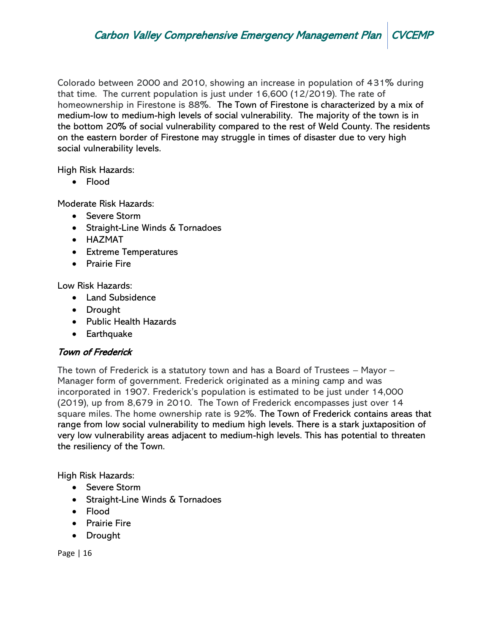Colorado between 2000 and 2010, showing an increase in population of 431% during that time. The current population is just under 16,600 (12/2019). The rate of homeownership in Firestone is 88%. The Town of Firestone is characterized by a mix of medium-low to medium-high levels of social vulnerability. The majority of the town is in the bottom 20% of social vulnerability compared to the rest of Weld County. The residents on the eastern border of Firestone may struggle in times of disaster due to very high social vulnerability levels.

High Risk Hazards:

• Flood

Moderate Risk Hazards:

- Severe Storm
- Straight-Line Winds & Tornadoes
- HAZMAT
- Extreme Temperatures
- Prairie Fire

Low Risk Hazards:

- Land Subsidence
- Drought
- Public Health Hazards
- Earthquake

## Town of Frederick

The town of Frederick is a statutory town and has a Board of Trustees – Mayor – Manager form of government. Frederick originated as a mining camp and was incorporated in 1907. Frederick's population is estimated to be just under 14,000 (2019), up from 8,679 in 2010. The Town of Frederick encompasses just over 14 square miles. The home ownership rate is 92%. The Town of Frederick contains areas that range from low social vulnerability to medium high levels. There is a stark juxtaposition of very low vulnerability areas adjacent to medium-high levels. This has potential to threaten the resiliency of the Town.

High Risk Hazards:

- Severe Storm
- Straight-Line Winds & Tornadoes
- Flood
- Prairie Fire
- Drought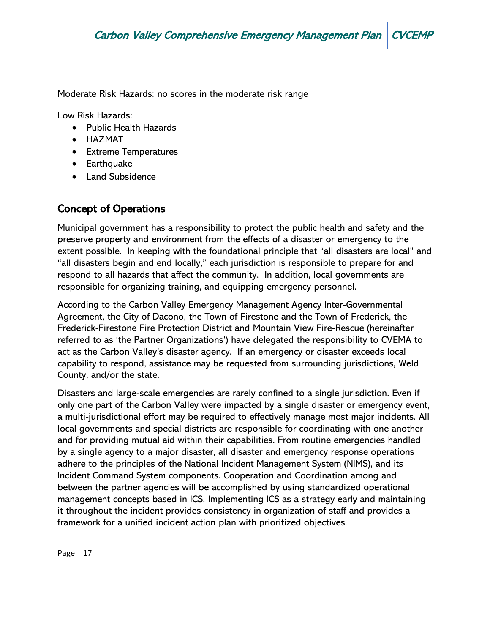Moderate Risk Hazards: no scores in the moderate risk range

Low Risk Hazards:

- Public Health Hazards
- HAZMAT
- Extreme Temperatures
- Earthquake
- Land Subsidence

# Concept of Operations

Municipal government has a responsibility to protect the public health and safety and the preserve property and environment from the effects of a disaster or emergency to the extent possible. In keeping with the foundational principle that "all disasters are local" and "all disasters begin and end locally," each jurisdiction is responsible to prepare for and respond to all hazards that affect the community. In addition, local governments are responsible for organizing training, and equipping emergency personnel.

According to the Carbon Valley Emergency Management Agency Inter-Governmental Agreement, the City of Dacono, the Town of Firestone and the Town of Frederick, the Frederick-Firestone Fire Protection District and Mountain View Fire-Rescue (hereinafter referred to as 'the Partner Organizations') have delegated the responsibility to CVEMA to act as the Carbon Valley's disaster agency. If an emergency or disaster exceeds local capability to respond, assistance may be requested from surrounding jurisdictions, Weld County, and/or the state.

Disasters and large-scale emergencies are rarely confined to a single jurisdiction. Even if only one part of the Carbon Valley were impacted by a single disaster or emergency event, a multi-jurisdictional effort may be required to effectively manage most major incidents. All local governments and special districts are responsible for coordinating with one another and for providing mutual aid within their capabilities. From routine emergencies handled by a single agency to a major disaster, all disaster and emergency response operations adhere to the principles of the National Incident Management System (NIMS), and its Incident Command System components. Cooperation and Coordination among and between the partner agencies will be accomplished by using standardized operational management concepts based in ICS. Implementing ICS as a strategy early and maintaining it throughout the incident provides consistency in organization of staff and provides a framework for a unified incident action plan with prioritized objectives.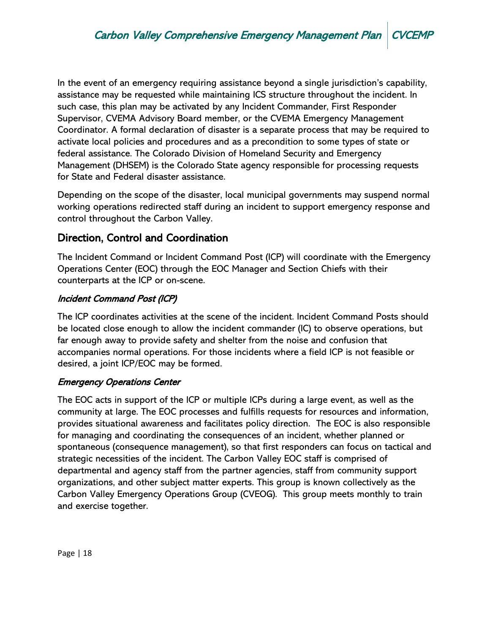In the event of an emergency requiring assistance beyond a single jurisdiction's capability, assistance may be requested while maintaining ICS structure throughout the incident. In such case, this plan may be activated by any Incident Commander, First Responder Supervisor, CVEMA Advisory Board member, or the CVEMA Emergency Management Coordinator. A formal declaration of disaster is a separate process that may be required to activate local policies and procedures and as a precondition to some types of state or federal assistance. The Colorado Division of Homeland Security and Emergency Management (DHSEM) is the Colorado State agency responsible for processing requests for State and Federal disaster assistance.

Depending on the scope of the disaster, local municipal governments may suspend normal working operations redirected staff during an incident to support emergency response and control throughout the Carbon Valley.

# Direction, Control and Coordination

The Incident Command or Incident Command Post (ICP) will coordinate with the Emergency Operations Center (EOC) through the EOC Manager and Section Chiefs with their counterparts at the ICP or on-scene.

## Incident Command Post (ICP)

The ICP coordinates activities at the scene of the incident. Incident Command Posts should be located close enough to allow the incident commander (IC) to observe operations, but far enough away to provide safety and shelter from the noise and confusion that accompanies normal operations. For those incidents where a field ICP is not feasible or desired, a joint ICP/EOC may be formed.

## Emergency Operations Center

The EOC acts in support of the ICP or multiple ICPs during a large event, as well as the community at large. The EOC processes and fulfills requests for resources and information, provides situational awareness and facilitates policy direction. The EOC is also responsible for managing and coordinating the consequences of an incident, whether planned or spontaneous (consequence management), so that first responders can focus on tactical and strategic necessities of the incident. The Carbon Valley EOC staff is comprised of departmental and agency staff from the partner agencies, staff from community support organizations, and other subject matter experts. This group is known collectively as the Carbon Valley Emergency Operations Group (CVEOG). This group meets monthly to train and exercise together.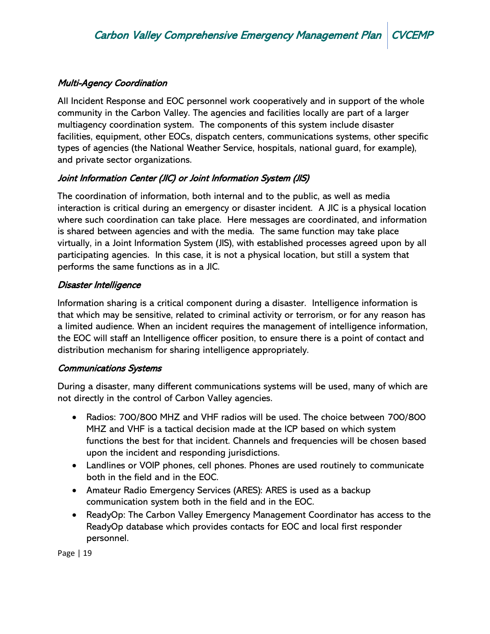## Multi-Agency Coordination

All Incident Response and EOC personnel work cooperatively and in support of the whole community in the Carbon Valley. The agencies and facilities locally are part of a larger multiagency coordination system. The components of this system include disaster facilities, equipment, other EOCs, dispatch centers, communications systems, other specific types of agencies (the National Weather Service, hospitals, national guard, for example), and private sector organizations.

## Joint Information Center (JIC) or Joint Information System (JIS)

The coordination of information, both internal and to the public, as well as media interaction is critical during an emergency or disaster incident. A JIC is a physical location where such coordination can take place. Here messages are coordinated, and information is shared between agencies and with the media. The same function may take place virtually, in a Joint Information System (JIS), with established processes agreed upon by all participating agencies. In this case, it is not a physical location, but still a system that performs the same functions as in a JIC.

## Disaster Intelligence

Information sharing is a critical component during a disaster. Intelligence information is that which may be sensitive, related to criminal activity or terrorism, or for any reason has a limited audience. When an incident requires the management of intelligence information, the EOC will staff an Intelligence officer position, to ensure there is a point of contact and distribution mechanism for sharing intelligence appropriately.

## Communications Systems

During a disaster, many different communications systems will be used, many of which are not directly in the control of Carbon Valley agencies.

- Radios: 700/800 MHZ and VHF radios will be used. The choice between 700/800 MHZ and VHF is a tactical decision made at the ICP based on which system functions the best for that incident. Channels and frequencies will be chosen based upon the incident and responding jurisdictions.
- Landlines or VOIP phones, cell phones. Phones are used routinely to communicate both in the field and in the EOC.
- Amateur Radio Emergency Services (ARES): ARES is used as a backup communication system both in the field and in the EOC.
- ReadyOp: The Carbon Valley Emergency Management Coordinator has access to the ReadyOp database which provides contacts for EOC and local first responder personnel.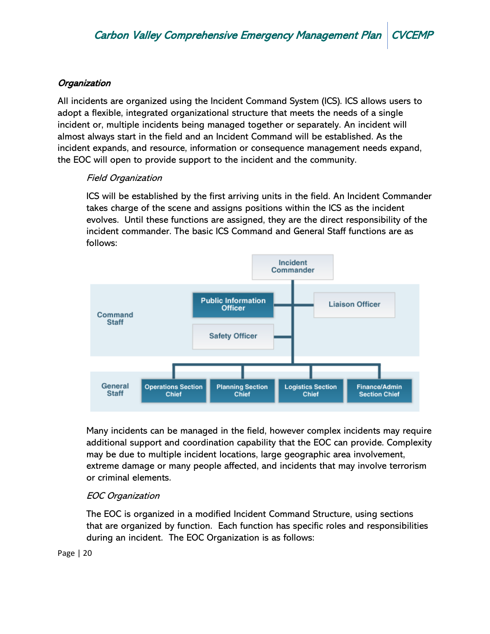## **Organization**

All incidents are organized using the Incident Command System (ICS). ICS allows users to adopt a flexible, integrated organizational structure that meets the needs of a single incident or, multiple incidents being managed together or separately. An incident will almost always start in the field and an Incident Command will be established. As the incident expands, and resource, information or consequence management needs expand, the EOC will open to provide support to the incident and the community.

## Field Organization

ICS will be established by the first arriving units in the field. An Incident Commander takes charge of the scene and assigns positions within the ICS as the incident evolves. Until these functions are assigned, they are the direct responsibility of the incident commander. The basic ICS Command and General Staff functions are as follows:



Many incidents can be managed in the field, however complex incidents may require additional support and coordination capability that the EOC can provide. Complexity may be due to multiple incident locations, large geographic area involvement, extreme damage or many people affected, and incidents that may involve terrorism or criminal elements.

## EOC Organization

The EOC is organized in a modified Incident Command Structure, using sections that are organized by function. Each function has specific roles and responsibilities during an incident. The EOC Organization is as follows: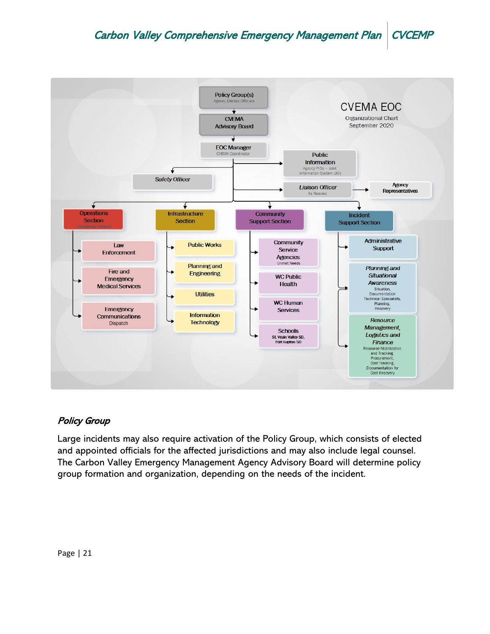

## Policy Group

Large incidents may also require activation of the Policy Group, which consists of elected and appointed officials for the affected jurisdictions and may also include legal counsel. The Carbon Valley Emergency Management Agency Advisory Board will determine policy group formation and organization, depending on the needs of the incident.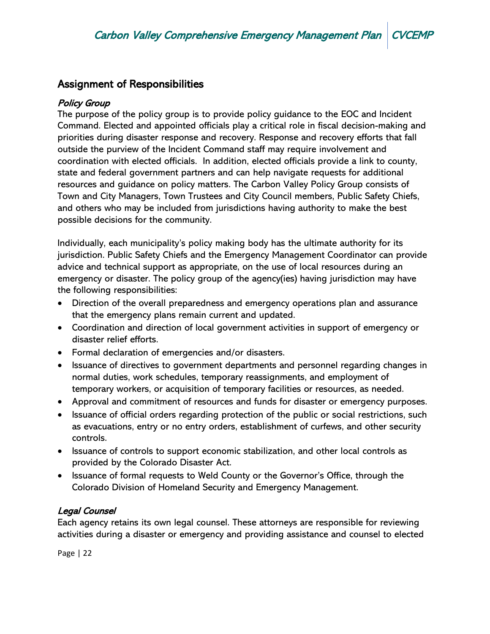# Assignment of Responsibilities

## Policy Group

The purpose of the policy group is to provide policy guidance to the EOC and Incident Command. Elected and appointed officials play a critical role in fiscal decision-making and priorities during disaster response and recovery. Response and recovery efforts that fall outside the purview of the Incident Command staff may require involvement and coordination with elected officials. In addition, elected officials provide a link to county, state and federal government partners and can help navigate requests for additional resources and guidance on policy matters. The Carbon Valley Policy Group consists of Town and City Managers, Town Trustees and City Council members, Public Safety Chiefs, and others who may be included from jurisdictions having authority to make the best possible decisions for the community.

Individually, each municipality's policy making body has the ultimate authority for its jurisdiction. Public Safety Chiefs and the Emergency Management Coordinator can provide advice and technical support as appropriate, on the use of local resources during an emergency or disaster. The policy group of the agency(ies) having jurisdiction may have the following responsibilities:

- Direction of the overall preparedness and emergency operations plan and assurance that the emergency plans remain current and updated.
- Coordination and direction of local government activities in support of emergency or disaster relief efforts.
- Formal declaration of emergencies and/or disasters.
- Issuance of directives to government departments and personnel regarding changes in normal duties, work schedules, temporary reassignments, and employment of temporary workers, or acquisition of temporary facilities or resources, as needed.
- Approval and commitment of resources and funds for disaster or emergency purposes.
- Issuance of official orders regarding protection of the public or social restrictions, such as evacuations, entry or no entry orders, establishment of curfews, and other security controls.
- Issuance of controls to support economic stabilization, and other local controls as provided by the Colorado Disaster Act.
- Issuance of formal requests to Weld County or the Governor's Office, through the Colorado Division of Homeland Security and Emergency Management.

## Legal Counsel

Each agency retains its own legal counsel. These attorneys are responsible for reviewing activities during a disaster or emergency and providing assistance and counsel to elected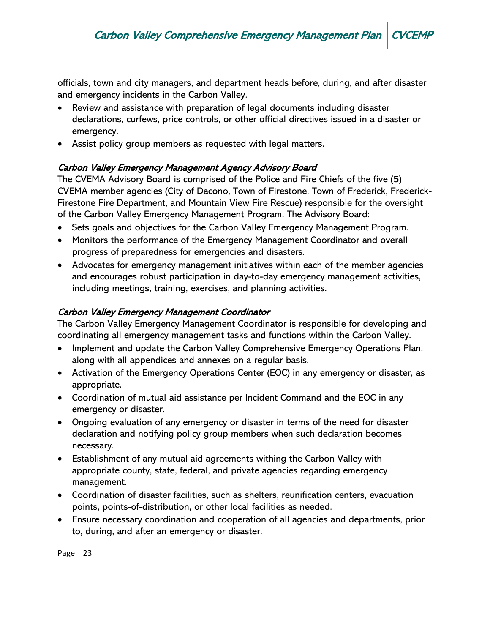officials, town and city managers, and department heads before, during, and after disaster and emergency incidents in the Carbon Valley.

- Review and assistance with preparation of legal documents including disaster declarations, curfews, price controls, or other official directives issued in a disaster or emergency.
- Assist policy group members as requested with legal matters.

## Carbon Valley Emergency Management Agency Advisory Board

The CVEMA Advisory Board is comprised of the Police and Fire Chiefs of the five (5) CVEMA member agencies (City of Dacono, Town of Firestone, Town of Frederick, Frederick-Firestone Fire Department, and Mountain View Fire Rescue) responsible for the oversight of the Carbon Valley Emergency Management Program. The Advisory Board:

- Sets goals and objectives for the Carbon Valley Emergency Management Program.
- Monitors the performance of the Emergency Management Coordinator and overall progress of preparedness for emergencies and disasters.
- Advocates for emergency management initiatives within each of the member agencies and encourages robust participation in day-to-day emergency management activities, including meetings, training, exercises, and planning activities.

## Carbon Valley Emergency Management Coordinator

The Carbon Valley Emergency Management Coordinator is responsible for developing and coordinating all emergency management tasks and functions within the Carbon Valley.

- Implement and update the Carbon Valley Comprehensive Emergency Operations Plan, along with all appendices and annexes on a regular basis.
- Activation of the Emergency Operations Center (EOC) in any emergency or disaster, as appropriate.
- Coordination of mutual aid assistance per Incident Command and the EOC in any emergency or disaster.
- Ongoing evaluation of any emergency or disaster in terms of the need for disaster declaration and notifying policy group members when such declaration becomes necessary.
- Establishment of any mutual aid agreements withing the Carbon Valley with appropriate county, state, federal, and private agencies regarding emergency management.
- Coordination of disaster facilities, such as shelters, reunification centers, evacuation points, points-of-distribution, or other local facilities as needed.
- Ensure necessary coordination and cooperation of all agencies and departments, prior to, during, and after an emergency or disaster.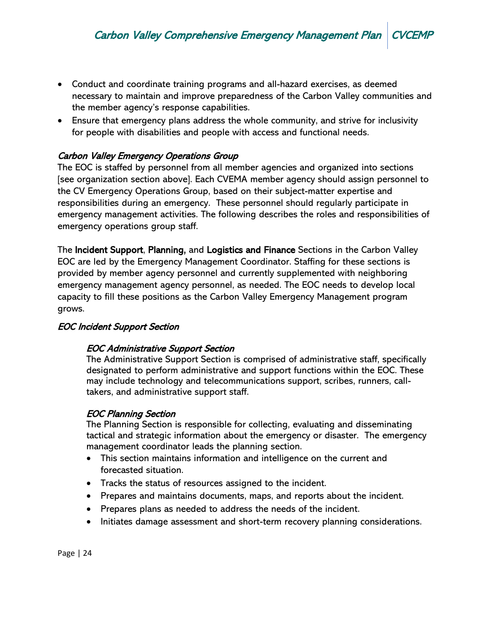- Conduct and coordinate training programs and all-hazard exercises, as deemed necessary to maintain and improve preparedness of the Carbon Valley communities and the member agency's response capabilities.
- Ensure that emergency plans address the whole community, and strive for inclusivity for people with disabilities and people with access and functional needs.

## Carbon Valley Emergency Operations Group

The EOC is staffed by personnel from all member agencies and organized into sections [see organization section above]. Each CVEMA member agency should assign personnel to the CV Emergency Operations Group, based on their subject-matter expertise and responsibilities during an emergency. These personnel should regularly participate in emergency management activities. The following describes the roles and responsibilities of emergency operations group staff.

The Incident Support, Planning, and Logistics and Finance Sections in the Carbon Valley EOC are led by the Emergency Management Coordinator. Staffing for these sections is provided by member agency personnel and currently supplemented with neighboring emergency management agency personnel, as needed. The EOC needs to develop local capacity to fill these positions as the Carbon Valley Emergency Management program grows.

## EOC Incident Support Section

## EOC Administrative Support Section

The Administrative Support Section is comprised of administrative staff, specifically designated to perform administrative and support functions within the EOC. These may include technology and telecommunications support, scribes, runners, calltakers, and administrative support staff.

## EOC Planning Section

The Planning Section is responsible for collecting, evaluating and disseminating tactical and strategic information about the emergency or disaster. The emergency management coordinator leads the planning section.

- This section maintains information and intelligence on the current and forecasted situation.
- Tracks the status of resources assigned to the incident.
- Prepares and maintains documents, maps, and reports about the incident.
- Prepares plans as needed to address the needs of the incident.
- Initiates damage assessment and short-term recovery planning considerations.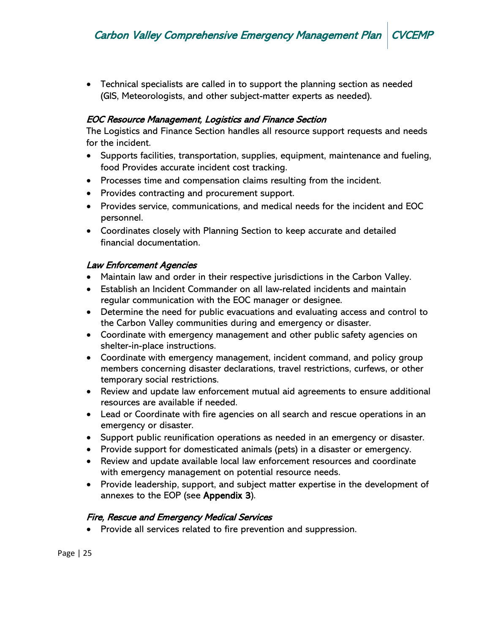• Technical specialists are called in to support the planning section as needed (GIS, Meteorologists, and other subject-matter experts as needed).

#### EOC Resource Management, Logistics and Finance Section

The Logistics and Finance Section handles all resource support requests and needs for the incident.

- Supports facilities, transportation, supplies, equipment, maintenance and fueling, food Provides accurate incident cost tracking.
- Processes time and compensation claims resulting from the incident.
- Provides contracting and procurement support.
- Provides service, communications, and medical needs for the incident and EOC personnel.
- Coordinates closely with Planning Section to keep accurate and detailed financial documentation.

#### Law Enforcement Agencies

- Maintain law and order in their respective jurisdictions in the Carbon Valley.
- Establish an Incident Commander on all law-related incidents and maintain regular communication with the EOC manager or designee.
- Determine the need for public evacuations and evaluating access and control to the Carbon Valley communities during and emergency or disaster.
- Coordinate with emergency management and other public safety agencies on shelter-in-place instructions.
- Coordinate with emergency management, incident command, and policy group members concerning disaster declarations, travel restrictions, curfews, or other temporary social restrictions.
- Review and update law enforcement mutual aid agreements to ensure additional resources are available if needed.
- Lead or Coordinate with fire agencies on all search and rescue operations in an emergency or disaster.
- Support public reunification operations as needed in an emergency or disaster.
- Provide support for domesticated animals (pets) in a disaster or emergency.
- Review and update available local law enforcement resources and coordinate with emergency management on potential resource needs.
- Provide leadership, support, and subject matter expertise in the development of annexes to the EOP (see Appendix 3).

#### Fire, Rescue and Emergency Medical Services

• Provide all services related to fire prevention and suppression.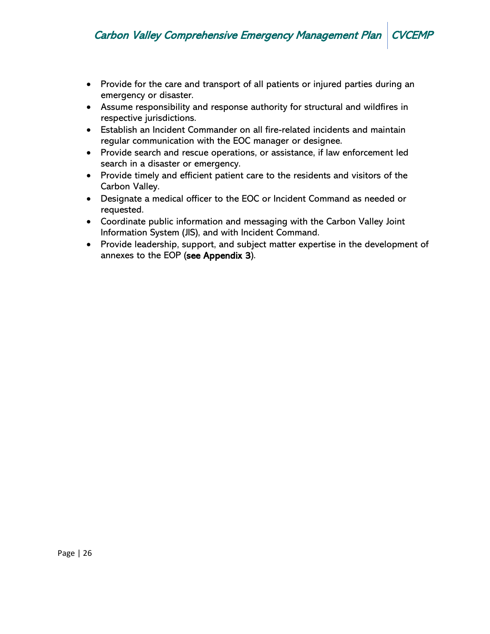- Provide for the care and transport of all patients or injured parties during an emergency or disaster.
- Assume responsibility and response authority for structural and wildfires in respective jurisdictions.
- Establish an Incident Commander on all fire-related incidents and maintain regular communication with the EOC manager or designee.
- Provide search and rescue operations, or assistance, if law enforcement led search in a disaster or emergency.
- Provide timely and efficient patient care to the residents and visitors of the Carbon Valley.
- Designate a medical officer to the EOC or Incident Command as needed or requested.
- Coordinate public information and messaging with the Carbon Valley Joint Information System (JIS), and with Incident Command.
- Provide leadership, support, and subject matter expertise in the development of annexes to the EOP (see Appendix 3).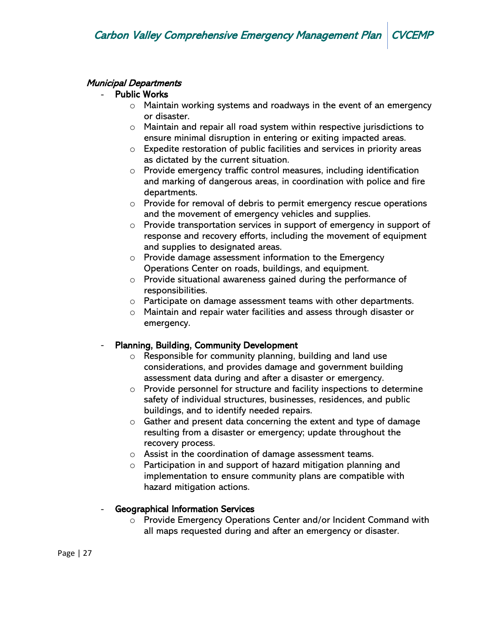## Municipal Departments

## **Public Works**

- o Maintain working systems and roadways in the event of an emergency or disaster.
- o Maintain and repair all road system within respective jurisdictions to ensure minimal disruption in entering or exiting impacted areas.
- o Expedite restoration of public facilities and services in priority areas as dictated by the current situation.
- $\circ$  Provide emergency traffic control measures, including identification and marking of dangerous areas, in coordination with police and fire departments.
- o Provide for removal of debris to permit emergency rescue operations and the movement of emergency vehicles and supplies.
- $\circ$  Provide transportation services in support of emergency in support of response and recovery efforts, including the movement of equipment and supplies to designated areas.
- o Provide damage assessment information to the Emergency Operations Center on roads, buildings, and equipment.
- o Provide situational awareness gained during the performance of responsibilities.
- $\circ$  Participate on damage assessment teams with other departments.
- o Maintain and repair water facilities and assess through disaster or emergency.

## Planning, Building, Community Development

- o Responsible for community planning, building and land use considerations, and provides damage and government building assessment data during and after a disaster or emergency.
- o Provide personnel for structure and facility inspections to determine safety of individual structures, businesses, residences, and public buildings, and to identify needed repairs.
- o Gather and present data concerning the extent and type of damage resulting from a disaster or emergency; update throughout the recovery process.
- o Assist in the coordination of damage assessment teams.
- o Participation in and support of hazard mitigation planning and implementation to ensure community plans are compatible with hazard mitigation actions.

## Geographical Information Services

 $\circ$  Provide Emergency Operations Center and/or Incident Command with all maps requested during and after an emergency or disaster.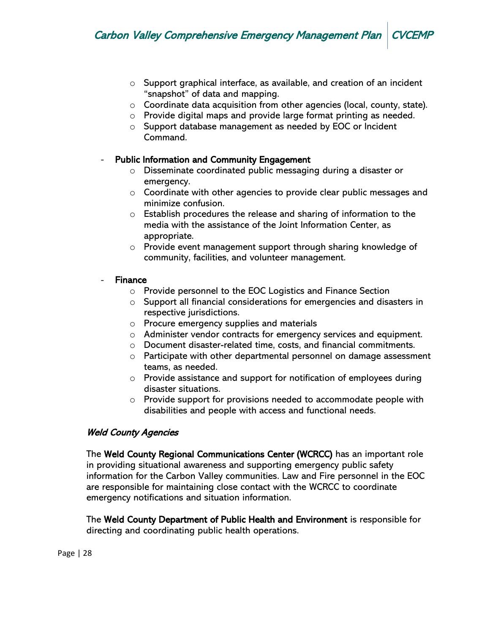- o Support graphical interface, as available, and creation of an incident "snapshot" of data and mapping.
- o Coordinate data acquisition from other agencies (local, county, state).
- o Provide digital maps and provide large format printing as needed.
- o Support database management as needed by EOC or Incident Command.

#### Public Information and Community Engagement

- o Disseminate coordinated public messaging during a disaster or emergency.
- o Coordinate with other agencies to provide clear public messages and minimize confusion.
- $\circ$  Establish procedures the release and sharing of information to the media with the assistance of the Joint Information Center, as appropriate.
- o Provide event management support through sharing knowledge of community, facilities, and volunteer management.

#### **Finance**

- o Provide personnel to the EOC Logistics and Finance Section
- o Support all financial considerations for emergencies and disasters in respective jurisdictions.
- o Procure emergency supplies and materials
- o Administer vendor contracts for emergency services and equipment.
- o Document disaster-related time, costs, and financial commitments.
- o Participate with other departmental personnel on damage assessment teams, as needed.
- o Provide assistance and support for notification of employees during disaster situations.
- o Provide support for provisions needed to accommodate people with disabilities and people with access and functional needs.

## Weld County Agencies

The Weld County Regional Communications Center (WCRCC) has an important role in providing situational awareness and supporting emergency public safety information for the Carbon Valley communities. Law and Fire personnel in the EOC are responsible for maintaining close contact with the WCRCC to coordinate emergency notifications and situation information.

The Weld County Department of Public Health and Environment is responsible for directing and coordinating public health operations.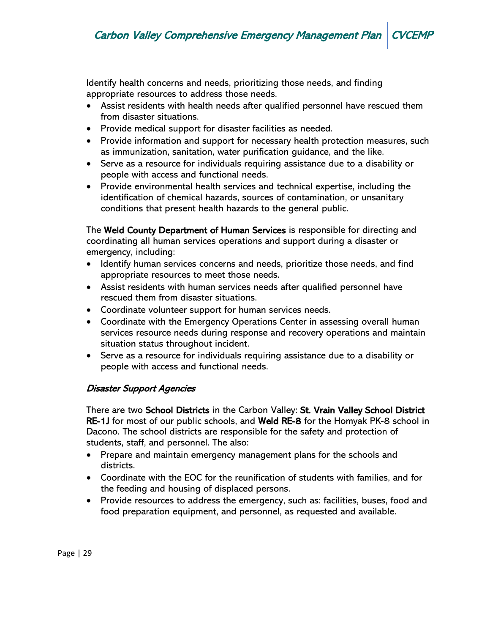Identify health concerns and needs, prioritizing those needs, and finding appropriate resources to address those needs.

- Assist residents with health needs after qualified personnel have rescued them from disaster situations.
- Provide medical support for disaster facilities as needed.
- Provide information and support for necessary health protection measures, such as immunization, sanitation, water purification guidance, and the like.
- Serve as a resource for individuals requiring assistance due to a disability or people with access and functional needs.
- Provide environmental health services and technical expertise, including the identification of chemical hazards, sources of contamination, or unsanitary conditions that present health hazards to the general public.

The Weld County Department of Human Services is responsible for directing and coordinating all human services operations and support during a disaster or emergency, including:

- Identify human services concerns and needs, prioritize those needs, and find appropriate resources to meet those needs.
- Assist residents with human services needs after qualified personnel have rescued them from disaster situations.
- Coordinate volunteer support for human services needs.
- Coordinate with the Emergency Operations Center in assessing overall human services resource needs during response and recovery operations and maintain situation status throughout incident.
- Serve as a resource for individuals requiring assistance due to a disability or people with access and functional needs.

## Disaster Support Agencies

There are two School Districts in the Carbon Valley: St. Vrain Valley School District RE-1J for most of our public schools, and Weld RE-8 for the Homyak PK-8 school in Dacono. The school districts are responsible for the safety and protection of students, staff, and personnel. The also:

- Prepare and maintain emergency management plans for the schools and districts.
- Coordinate with the EOC for the reunification of students with families, and for the feeding and housing of displaced persons.
- Provide resources to address the emergency, such as: facilities, buses, food and food preparation equipment, and personnel, as requested and available.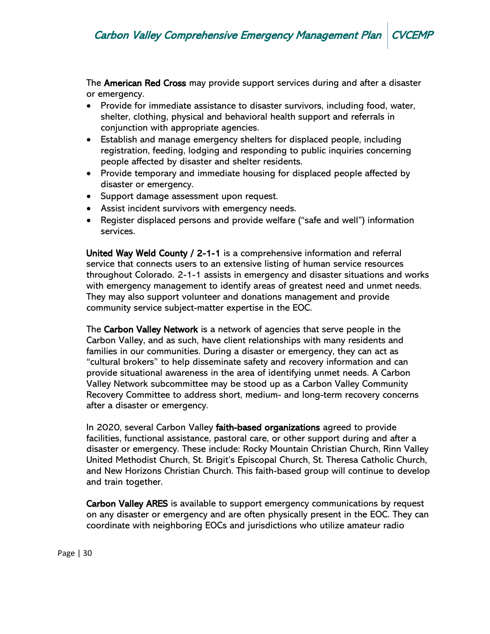The **American Red Cross** may provide support services during and after a disaster or emergency.

- Provide for immediate assistance to disaster survivors, including food, water, shelter, clothing, physical and behavioral health support and referrals in conjunction with appropriate agencies.
- Establish and manage emergency shelters for displaced people, including registration, feeding, lodging and responding to public inquiries concerning people affected by disaster and shelter residents.
- Provide temporary and immediate housing for displaced people affected by disaster or emergency.
- Support damage assessment upon request.
- Assist incident survivors with emergency needs.
- Register displaced persons and provide welfare ("safe and well") information services.

United Way Weld County / 2-1-1 is a comprehensive information and referral service that connects users to an extensive listing of human service resources throughout Colorado. 2-1-1 assists in emergency and disaster situations and works with emergency management to identify areas of greatest need and unmet needs. They may also support volunteer and donations management and provide community service subject-matter expertise in the EOC.

The Carbon Valley Network is a network of agencies that serve people in the Carbon Valley, and as such, have client relationships with many residents and families in our communities. During a disaster or emergency, they can act as "cultural brokers" to help disseminate safety and recovery information and can provide situational awareness in the area of identifying unmet needs. A Carbon Valley Network subcommittee may be stood up as a Carbon Valley Community Recovery Committee to address short, medium- and long-term recovery concerns after a disaster or emergency.

In 2020, several Carbon Valley faith-based organizations agreed to provide facilities, functional assistance, pastoral care, or other support during and after a disaster or emergency. These include: Rocky Mountain Christian Church, Rinn Valley United Methodist Church, St. Brigit's Episcopal Church, St. Theresa Catholic Church, and New Horizons Christian Church. This faith-based group will continue to develop and train together.

Carbon Valley ARES is available to support emergency communications by request on any disaster or emergency and are often physically present in the EOC. They can coordinate with neighboring EOCs and jurisdictions who utilize amateur radio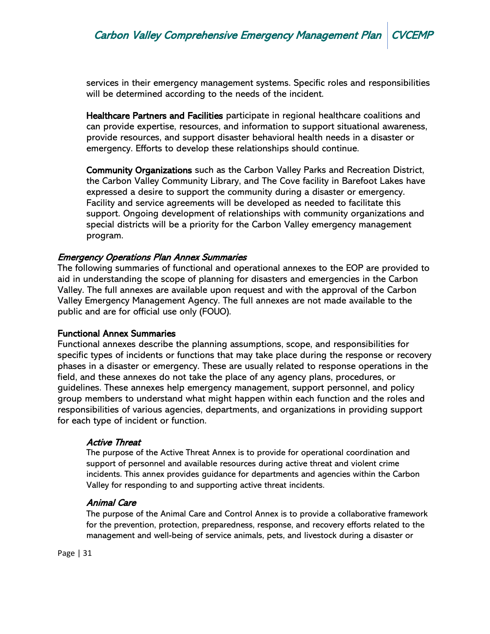services in their emergency management systems. Specific roles and responsibilities will be determined according to the needs of the incident.

Healthcare Partners and Facilities participate in regional healthcare coalitions and can provide expertise, resources, and information to support situational awareness, provide resources, and support disaster behavioral health needs in a disaster or emergency. Efforts to develop these relationships should continue.

Community Organizations such as the Carbon Valley Parks and Recreation District, the Carbon Valley Community Library, and The Cove facility in Barefoot Lakes have expressed a desire to support the community during a disaster or emergency. Facility and service agreements will be developed as needed to facilitate this support. Ongoing development of relationships with community organizations and special districts will be a priority for the Carbon Valley emergency management program.

#### Emergency Operations Plan Annex Summaries

The following summaries of functional and operational annexes to the EOP are provided to aid in understanding the scope of planning for disasters and emergencies in the Carbon Valley. The full annexes are available upon request and with the approval of the Carbon Valley Emergency Management Agency. The full annexes are not made available to the public and are for official use only (FOUO).

#### Functional Annex Summaries

Functional annexes describe the planning assumptions, scope, and responsibilities for specific types of incidents or functions that may take place during the response or recovery phases in a disaster or emergency. These are usually related to response operations in the field, and these annexes do not take the place of any agency plans, procedures, or guidelines. These annexes help emergency management, support personnel, and policy group members to understand what might happen within each function and the roles and responsibilities of various agencies, departments, and organizations in providing support for each type of incident or function.

#### Active Threat

The purpose of the Active Threat Annex is to provide for operational coordination and support of personnel and available resources during active threat and violent crime incidents. This annex provides guidance for departments and agencies within the Carbon Valley for responding to and supporting active threat incidents.

#### Animal Care

The purpose of the Animal Care and Control Annex is to provide a collaborative framework for the prevention, protection, preparedness, response, and recovery efforts related to the management and well-being of service animals, pets, and livestock during a disaster or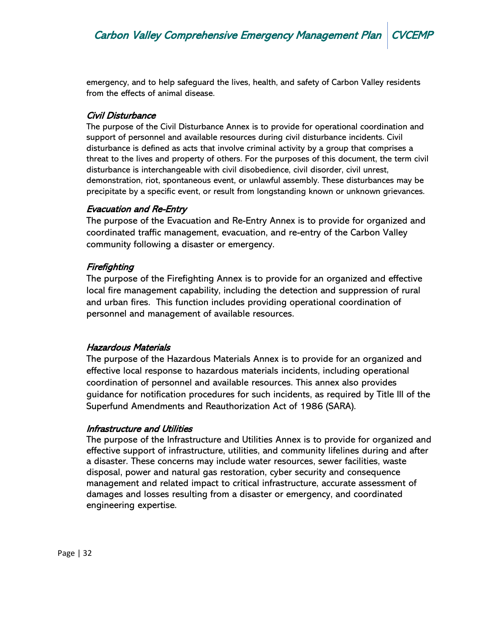emergency, and to help safeguard the lives, health, and safety of Carbon Valley residents from the effects of animal disease.

## Civil Disturbance

The purpose of the Civil Disturbance Annex is to provide for operational coordination and support of personnel and available resources during civil disturbance incidents. Civil disturbance is defined as acts that involve criminal activity by a group that comprises a threat to the lives and property of others. For the purposes of this document, the term civil disturbance is interchangeable with civil disobedience, civil disorder, civil unrest, demonstration, riot, spontaneous event, or unlawful assembly. These disturbances may be precipitate by a specific event, or result from longstanding known or unknown grievances.

## Evacuation and Re-Entry

The purpose of the Evacuation and Re-Entry Annex is to provide for organized and coordinated traffic management, evacuation, and re-entry of the Carbon Valley community following a disaster or emergency.

## Firefighting

The purpose of the Firefighting Annex is to provide for an organized and effective local fire management capability, including the detection and suppression of rural and urban fires. This function includes providing operational coordination of personnel and management of available resources.

## Hazardous Materials

The purpose of the Hazardous Materials Annex is to provide for an organized and effective local response to hazardous materials incidents, including operational coordination of personnel and available resources. This annex also provides guidance for notification procedures for such incidents, as required by Title III of the Superfund Amendments and Reauthorization Act of 1986 (SARA).

## Infrastructure and Utilities

The purpose of the Infrastructure and Utilities Annex is to provide for organized and effective support of infrastructure, utilities, and community lifelines during and after a disaster. These concerns may include water resources, sewer facilities, waste disposal, power and natural gas restoration, cyber security and consequence management and related impact to critical infrastructure, accurate assessment of damages and losses resulting from a disaster or emergency, and coordinated engineering expertise.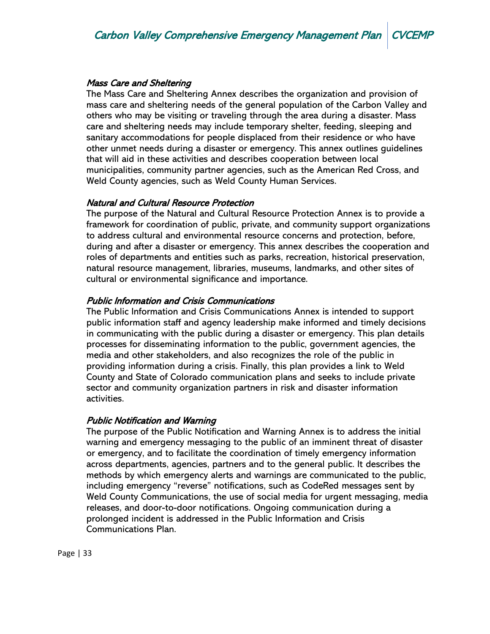#### Mass Care and Sheltering

The Mass Care and Sheltering Annex describes the organization and provision of mass care and sheltering needs of the general population of the Carbon Valley and others who may be visiting or traveling through the area during a disaster. Mass care and sheltering needs may include temporary shelter, feeding, sleeping and sanitary accommodations for people displaced from their residence or who have other unmet needs during a disaster or emergency. This annex outlines guidelines that will aid in these activities and describes cooperation between local municipalities, community partner agencies, such as the American Red Cross, and Weld County agencies, such as Weld County Human Services.

#### Natural and Cultural Resource Protection

The purpose of the Natural and Cultural Resource Protection Annex is to provide a framework for coordination of public, private, and community support organizations to address cultural and environmental resource concerns and protection, before, during and after a disaster or emergency. This annex describes the cooperation and roles of departments and entities such as parks, recreation, historical preservation, natural resource management, libraries, museums, landmarks, and other sites of cultural or environmental significance and importance.

#### Public Information and Crisis Communications

The Public Information and Crisis Communications Annex is intended to support public information staff and agency leadership make informed and timely decisions in communicating with the public during a disaster or emergency. This plan details processes for disseminating information to the public, government agencies, the media and other stakeholders, and also recognizes the role of the public in providing information during a crisis. Finally, this plan provides a link to Weld County and State of Colorado communication plans and seeks to include private sector and community organization partners in risk and disaster information activities.

#### Public Notification and Warning

The purpose of the Public Notification and Warning Annex is to address the initial warning and emergency messaging to the public of an imminent threat of disaster or emergency, and to facilitate the coordination of timely emergency information across departments, agencies, partners and to the general public. It describes the methods by which emergency alerts and warnings are communicated to the public, including emergency "reverse" notifications, such as CodeRed messages sent by Weld County Communications, the use of social media for urgent messaging, media releases, and door-to-door notifications. Ongoing communication during a prolonged incident is addressed in the Public Information and Crisis Communications Plan.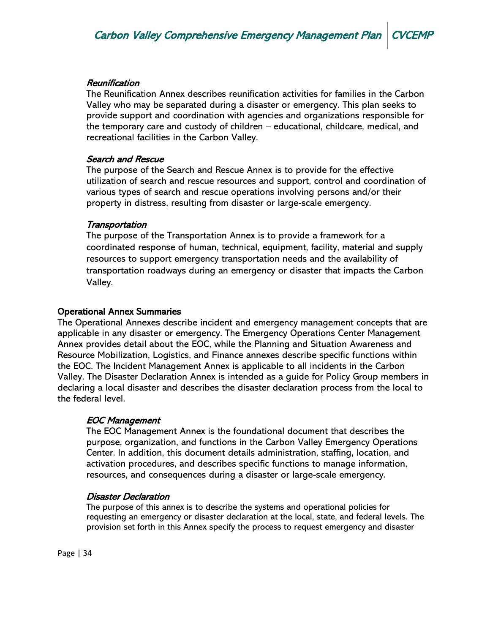#### **Reunification**

The Reunification Annex describes reunification activities for families in the Carbon Valley who may be separated during a disaster or emergency. This plan seeks to provide support and coordination with agencies and organizations responsible for the temporary care and custody of children – educational, childcare, medical, and recreational facilities in the Carbon Valley.

#### Search and Rescue

The purpose of the Search and Rescue Annex is to provide for the effective utilization of search and rescue resources and support, control and coordination of various types of search and rescue operations involving persons and/or their property in distress, resulting from disaster or large-scale emergency.

#### **Transportation**

The purpose of the Transportation Annex is to provide a framework for a coordinated response of human, technical, equipment, facility, material and supply resources to support emergency transportation needs and the availability of transportation roadways during an emergency or disaster that impacts the Carbon Valley.

#### Operational Annex Summaries

The Operational Annexes describe incident and emergency management concepts that are applicable in any disaster or emergency. The Emergency Operations Center Management Annex provides detail about the EOC, while the Planning and Situation Awareness and Resource Mobilization, Logistics, and Finance annexes describe specific functions within the EOC. The Incident Management Annex is applicable to all incidents in the Carbon Valley. The Disaster Declaration Annex is intended as a guide for Policy Group members in declaring a local disaster and describes the disaster declaration process from the local to the federal level.

#### EOC Management

The EOC Management Annex is the foundational document that describes the purpose, organization, and functions in the Carbon Valley Emergency Operations Center. In addition, this document details administration, staffing, location, and activation procedures, and describes specific functions to manage information, resources, and consequences during a disaster or large-scale emergency.

#### Disaster Declaration

The purpose of this annex is to describe the systems and operational policies for requesting an emergency or disaster declaration at the local, state, and federal levels. The provision set forth in this Annex specify the process to request emergency and disaster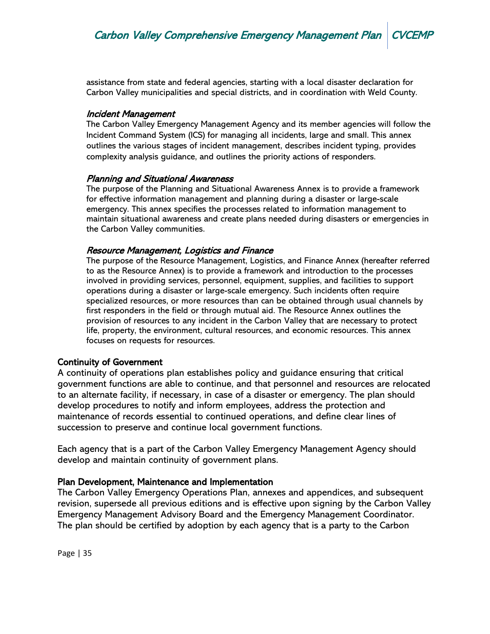assistance from state and federal agencies, starting with a local disaster declaration for Carbon Valley municipalities and special districts, and in coordination with Weld County.

#### Incident Management

The Carbon Valley Emergency Management Agency and its member agencies will follow the Incident Command System (ICS) for managing all incidents, large and small. This annex outlines the various stages of incident management, describes incident typing, provides complexity analysis guidance, and outlines the priority actions of responders.

#### Planning and Situational Awareness

The purpose of the Planning and Situational Awareness Annex is to provide a framework for effective information management and planning during a disaster or large-scale emergency. This annex specifies the processes related to information management to maintain situational awareness and create plans needed during disasters or emergencies in the Carbon Valley communities.

#### Resource Management, Logistics and Finance

The purpose of the Resource Management, Logistics, and Finance Annex (hereafter referred to as the Resource Annex) is to provide a framework and introduction to the processes involved in providing services, personnel, equipment, supplies, and facilities to support operations during a disaster or large-scale emergency. Such incidents often require specialized resources, or more resources than can be obtained through usual channels by first responders in the field or through mutual aid. The Resource Annex outlines the provision of resources to any incident in the Carbon Valley that are necessary to protect life, property, the environment, cultural resources, and economic resources. This annex focuses on requests for resources.

#### Continuity of Government

A continuity of operations plan establishes policy and guidance ensuring that critical government functions are able to continue, and that personnel and resources are relocated to an alternate facility, if necessary, in case of a disaster or emergency. The plan should develop procedures to notify and inform employees, address the protection and maintenance of records essential to continued operations, and define clear lines of succession to preserve and continue local government functions.

Each agency that is a part of the Carbon Valley Emergency Management Agency should develop and maintain continuity of government plans.

#### Plan Development, Maintenance and Implementation

The Carbon Valley Emergency Operations Plan, annexes and appendices, and subsequent revision, supersede all previous editions and is effective upon signing by the Carbon Valley Emergency Management Advisory Board and the Emergency Management Coordinator. The plan should be certified by adoption by each agency that is a party to the Carbon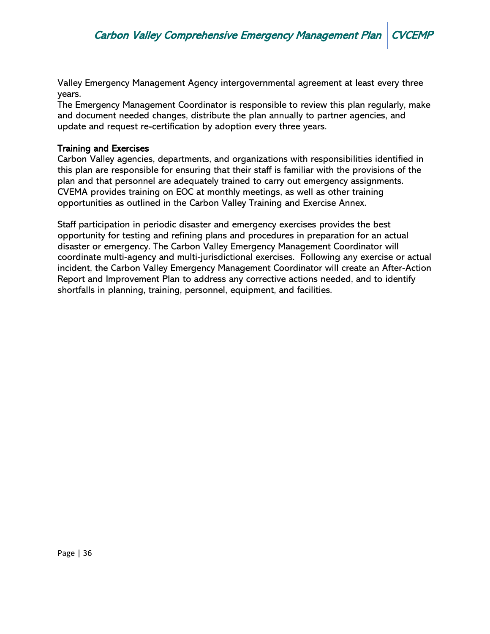Valley Emergency Management Agency intergovernmental agreement at least every three years.

The Emergency Management Coordinator is responsible to review this plan regularly, make and document needed changes, distribute the plan annually to partner agencies, and update and request re-certification by adoption every three years.

#### Training and Exercises

Carbon Valley agencies, departments, and organizations with responsibilities identified in this plan are responsible for ensuring that their staff is familiar with the provisions of the plan and that personnel are adequately trained to carry out emergency assignments. CVEMA provides training on EOC at monthly meetings, as well as other training opportunities as outlined in the Carbon Valley Training and Exercise Annex.

Staff participation in periodic disaster and emergency exercises provides the best opportunity for testing and refining plans and procedures in preparation for an actual disaster or emergency. The Carbon Valley Emergency Management Coordinator will coordinate multi-agency and multi-jurisdictional exercises. Following any exercise or actual incident, the Carbon Valley Emergency Management Coordinator will create an After-Action Report and Improvement Plan to address any corrective actions needed, and to identify shortfalls in planning, training, personnel, equipment, and facilities.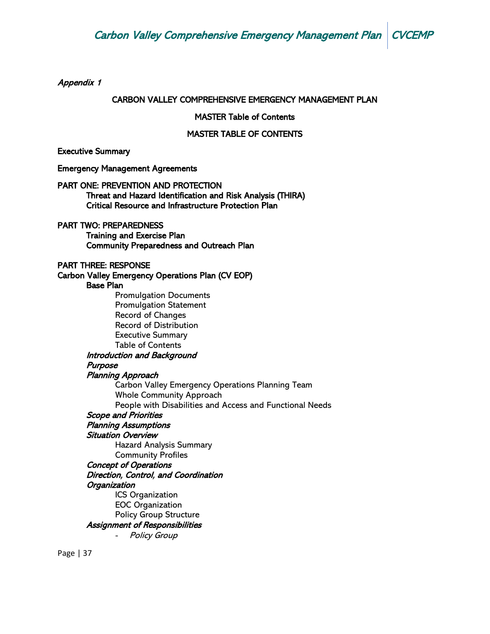Appendix 1

#### CARBON VALLEY COMPREHENSIVE EMERGENCY MANAGEMENT PLAN

#### MASTER Table of Contents

#### MASTER TABLE OF CONTENTS

Executive Summary

Emergency Management Agreements

#### PART ONE: PREVENTION AND PROTECTION

Threat and Hazard Identification and Risk Analysis (THIRA) Critical Resource and Infrastructure Protection Plan

#### PART TWO: PREPAREDNESS

Training and Exercise Plan Community Preparedness and Outreach Plan

#### PART THREE: RESPONSE

Carbon Valley Emergency Operations Plan (CV EOP) Base Plan Promulgation Documents Promulgation Statement Record of Changes Record of Distribution Executive Summary Table of Contents Introduction and Background Purpose Planning Approach Carbon Valley Emergency Operations Planning Team Whole Community Approach People with Disabilities and Access and Functional Needs Scope and Priorities Planning Assumptions Situation Overview Hazard Analysis Summary Community Profiles Concept of Operations Direction, Control, and Coordination **Organization** ICS Organization

EOC Organization Policy Group Structure

#### Assignment of Responsibilities

**Policy Group**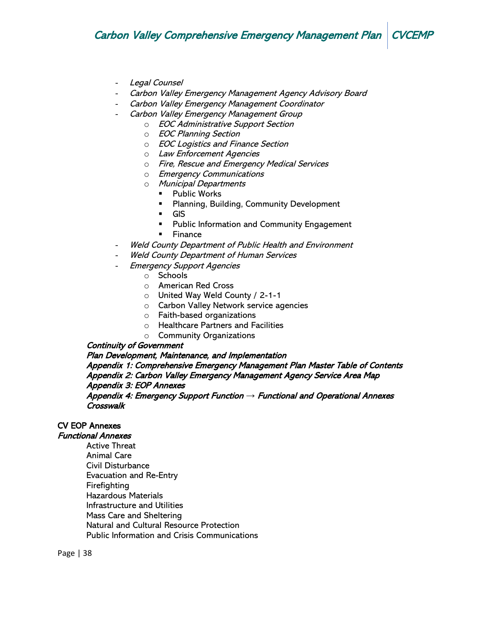- Legal Counsel
- Carbon Valley Emergency Management Agency Advisory Board
- Carbon Valley Emergency Management Coordinator
- Carbon Valley Emergency Management Group
	- o EOC Administrative Support Section
	- o EOC Planning Section
	- o EOC Logistics and Finance Section
	- o Law Enforcement Agencies
	- o Fire, Rescue and Emergency Medical Services
	- o Emergency Communications
	- o Municipal Departments
		- Public Works
		- Planning, Building, Community Development
		- GIS
		- **•** Public Information and Community Engagement
		- Finance
- Weld County Department of Public Health and Environment
- Weld County Department of Human Services
- **Emergency Support Agencies** 
	- o Schools
	- o American Red Cross
	- o United Way Weld County / 2-1-1
	- o Carbon Valley Network service agencies
	- o Faith-based organizations
	- o Healthcare Partners and Facilities
	- o Community Organizations

#### Continuity of Government

#### Plan Development, Maintenance, and Implementation

Appendix 1: Comprehensive Emergency Management Plan Master Table of Contents Appendix 2: Carbon Valley Emergency Management Agency Service Area Map Appendix 3: EOP Annexes

Appendix 4: Emergency Support Function *→* Functional and Operational Annexes **Crosswalk** 

## CV EOP Annexes

#### Functional Annexes

Active Threat Animal Care Civil Disturbance Evacuation and Re-Entry Firefighting Hazardous Materials Infrastructure and Utilities Mass Care and Sheltering Natural and Cultural Resource Protection Public Information and Crisis Communications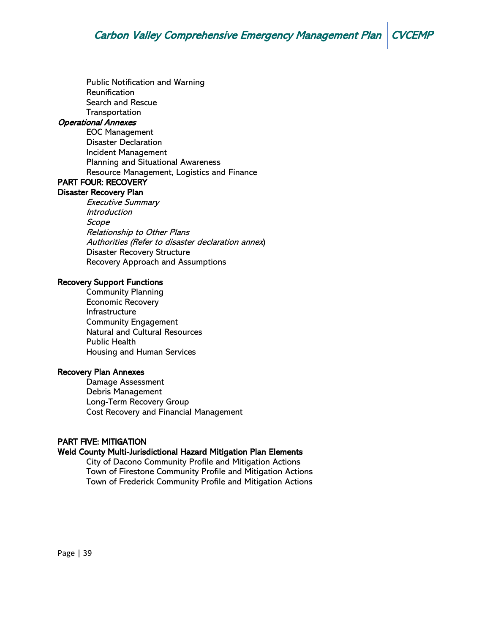Public Notification and Warning Reunification Search and Rescue Transportation

#### Operational Annexes

EOC Management Disaster Declaration Incident Management Planning and Situational Awareness Resource Management, Logistics and Finance PART FOUR: RECOVERY

# Disaster Recovery Plan

Executive Summary Introduction Scope Relationship to Other Plans Authorities (Refer to disaster declaration annex) Disaster Recovery Structure Recovery Approach and Assumptions

#### Recovery Support Functions

Community Planning Economic Recovery Infrastructure Community Engagement Natural and Cultural Resources Public Health Housing and Human Services

#### Recovery Plan Annexes

Damage Assessment Debris Management Long-Term Recovery Group Cost Recovery and Financial Management

#### PART FIVE: MITIGATION

#### Weld County Multi-Jurisdictional Hazard Mitigation Plan Elements

City of Dacono Community Profile and Mitigation Actions Town of Firestone Community Profile and Mitigation Actions Town of Frederick Community Profile and Mitigation Actions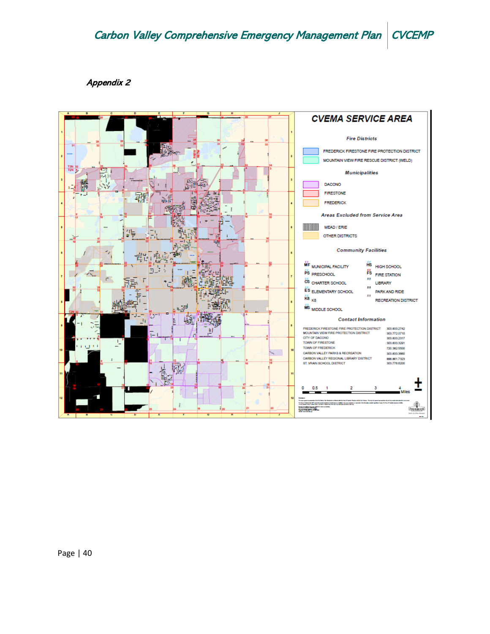#### Appendix 2

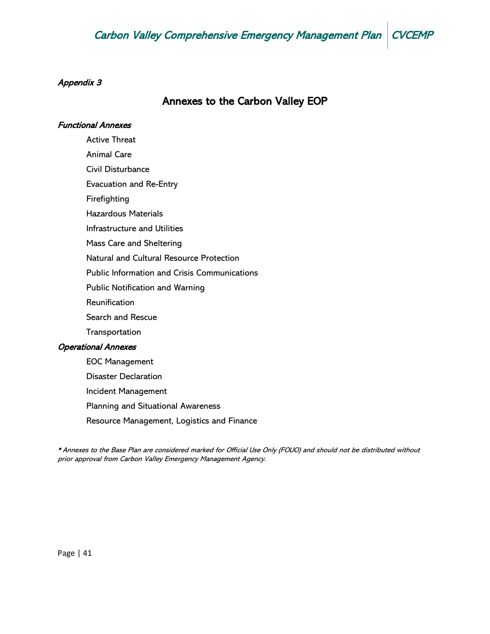## Appendix 3

# Annexes to the Carbon Valley EOP

#### Functional Annexes

Active Threat Animal Care Civil Disturbance Evacuation and Re-Entry Firefighting Hazardous Materials Infrastructure and Utilities Mass Care and Sheltering Natural and Cultural Resource Protection Public Information and Crisis Communications Public Notification and Warning Reunification Search and Rescue **Transportation** Operational Annexes EOC Management Disaster Declaration Incident Management Planning and Situational Awareness

Resource Management, Logistics and Finance

\* Annexes to the Base Plan are considered marked for Official Use Only (FOUO) and should not be distributed without prior approval from Carbon Valley Emergency Management Agency.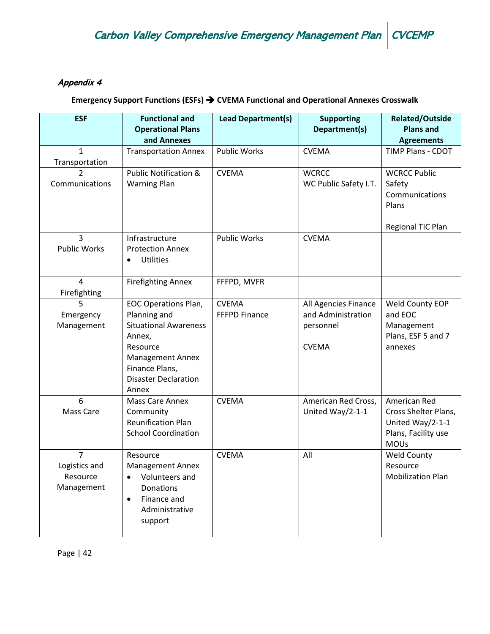## Appendix 4

# **Emergency Support Functions (ESFs)** ➔ **CVEMA Functional and Operational Annexes Crosswalk**

| <b>ESF</b>                                                | <b>Functional and</b><br><b>Operational Plans</b><br>and Annexes                                                                                                                       | <b>Lead Department(s)</b>            | <b>Supporting</b><br>Department(s)                                      | <b>Related/Outside</b><br><b>Plans and</b><br><b>Agreements</b>                                |
|-----------------------------------------------------------|----------------------------------------------------------------------------------------------------------------------------------------------------------------------------------------|--------------------------------------|-------------------------------------------------------------------------|------------------------------------------------------------------------------------------------|
| 1<br>Transportation                                       | <b>Transportation Annex</b>                                                                                                                                                            | <b>Public Works</b>                  | <b>CVEMA</b>                                                            | <b>TIMP Plans - CDOT</b>                                                                       |
| $\mathfrak{D}$<br>Communications                          | <b>Public Notification &amp;</b><br><b>Warning Plan</b>                                                                                                                                | <b>CVEMA</b>                         | <b>WCRCC</b><br>WC Public Safety I.T.                                   | <b>WCRCC Public</b><br>Safety<br>Communications<br>Plans<br>Regional TIC Plan                  |
| 3<br><b>Public Works</b>                                  | Infrastructure<br><b>Protection Annex</b><br><b>Utilities</b><br>$\bullet$                                                                                                             | <b>Public Works</b>                  | <b>CVEMA</b>                                                            |                                                                                                |
| 4<br>Firefighting                                         | <b>Firefighting Annex</b>                                                                                                                                                              | FFFPD, MVFR                          |                                                                         |                                                                                                |
| 5<br>Emergency<br>Management                              | <b>EOC Operations Plan,</b><br>Planning and<br><b>Situational Awareness</b><br>Annex,<br>Resource<br><b>Management Annex</b><br>Finance Plans,<br><b>Disaster Declaration</b><br>Annex | <b>CVEMA</b><br><b>FFFPD Finance</b> | All Agencies Finance<br>and Administration<br>personnel<br><b>CVEMA</b> | Weld County EOP<br>and EOC<br>Management<br>Plans, ESF 5 and 7<br>annexes                      |
| 6<br>Mass Care                                            | Mass Care Annex<br>Community<br><b>Reunification Plan</b><br><b>School Coordination</b>                                                                                                | <b>CVEMA</b>                         | American Red Cross,<br>United Way/2-1-1                                 | American Red<br>Cross Shelter Plans,<br>United Way/2-1-1<br>Plans, Facility use<br><b>MOUs</b> |
| $\overline{7}$<br>Logistics and<br>Resource<br>Management | Resource<br><b>Management Annex</b><br>Volunteers and<br>Donations<br>Finance and<br>$\bullet$<br>Administrative<br>support                                                            | <b>CVEMA</b>                         | All                                                                     | <b>Weld County</b><br>Resource<br><b>Mobilization Plan</b>                                     |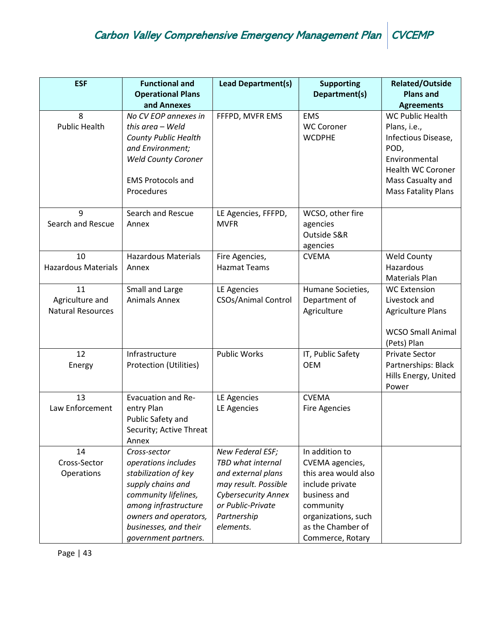| <b>ESF</b>                 | <b>Functional and</b>                   | <b>Lead Department(s)</b>  | <b>Supporting</b>    | <b>Related/Outside</b>                |
|----------------------------|-----------------------------------------|----------------------------|----------------------|---------------------------------------|
|                            | <b>Operational Plans</b><br>and Annexes |                            | Department(s)        | <b>Plans and</b><br><b>Agreements</b> |
| 8                          | No CV EOP annexes in                    | FFFPD, MVFR EMS            | <b>EMS</b>           | <b>WC Public Health</b>               |
| <b>Public Health</b>       | this area - Weld                        |                            | <b>WC Coroner</b>    | Plans, i.e.,                          |
|                            | <b>County Public Health</b>             |                            | <b>WCDPHE</b>        | Infectious Disease,                   |
|                            | and Environment;                        |                            |                      | POD,                                  |
|                            | <b>Weld County Coroner</b>              |                            |                      | Environmental                         |
|                            |                                         |                            |                      | <b>Health WC Coroner</b>              |
|                            | <b>EMS Protocols and</b>                |                            |                      | Mass Casualty and                     |
|                            | Procedures                              |                            |                      | <b>Mass Fatality Plans</b>            |
| 9                          | Search and Rescue                       | LE Agencies, FFFPD,        | WCSO, other fire     |                                       |
| Search and Rescue          | Annex                                   | <b>MVFR</b>                | agencies             |                                       |
|                            |                                         |                            | Outside S&R          |                                       |
|                            |                                         |                            | agencies             |                                       |
| 10                         | <b>Hazardous Materials</b>              | Fire Agencies,             | <b>CVEMA</b>         | <b>Weld County</b>                    |
| <b>Hazardous Materials</b> | Annex                                   | <b>Hazmat Teams</b>        |                      | Hazardous                             |
|                            |                                         |                            |                      | <b>Materials Plan</b>                 |
| 11                         | Small and Large                         | LE Agencies                | Humane Societies,    | <b>WC Extension</b>                   |
| Agriculture and            | <b>Animals Annex</b>                    | <b>CSOs/Animal Control</b> | Department of        | Livestock and                         |
| <b>Natural Resources</b>   |                                         |                            | Agriculture          | <b>Agriculture Plans</b>              |
|                            |                                         |                            |                      | <b>WCSO Small Animal</b>              |
|                            |                                         |                            |                      | (Pets) Plan                           |
| 12                         | Infrastructure                          | <b>Public Works</b>        | IT, Public Safety    | <b>Private Sector</b>                 |
| Energy                     | Protection (Utilities)                  |                            | <b>OEM</b>           | Partnerships: Black                   |
|                            |                                         |                            |                      | Hills Energy, United                  |
|                            |                                         |                            |                      | Power                                 |
| 13                         | <b>Evacuation and Re-</b>               | LE Agencies                | <b>CVEMA</b>         |                                       |
| Law Enforcement            | entry Plan                              | LE Agencies                | <b>Fire Agencies</b> |                                       |
|                            | Public Safety and                       |                            |                      |                                       |
|                            | Security; Active Threat<br>Annex        |                            |                      |                                       |
| 14                         | Cross-sector                            | New Federal ESF;           | In addition to       |                                       |
| Cross-Sector               | operations includes                     | TBD what internal          | CVEMA agencies,      |                                       |
| Operations                 | stabilization of key                    | and external plans         | this area would also |                                       |
|                            | supply chains and                       | may result. Possible       | include private      |                                       |
|                            | community lifelines,                    | <b>Cybersecurity Annex</b> | business and         |                                       |
|                            | among infrastructure                    | or Public-Private          | community            |                                       |
|                            | owners and operators,                   | Partnership                | organizations, such  |                                       |
|                            | businesses, and their                   | elements.                  | as the Chamber of    |                                       |
|                            | government partners.                    |                            | Commerce, Rotary     |                                       |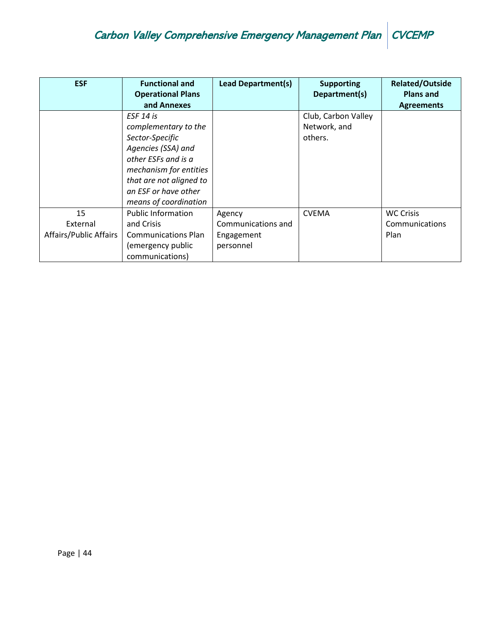| <b>ESF</b>                               | <b>Functional and</b><br><b>Operational Plans</b><br>and Annexes                                                                                                                                        | <b>Lead Department(s)</b>                               | <b>Supporting</b><br>Department(s)             | <b>Related/Outside</b><br><b>Plans and</b><br><b>Agreements</b> |
|------------------------------------------|---------------------------------------------------------------------------------------------------------------------------------------------------------------------------------------------------------|---------------------------------------------------------|------------------------------------------------|-----------------------------------------------------------------|
|                                          | ESF 14 is<br>complementary to the<br>Sector-Specific<br>Agencies (SSA) and<br>other ESFs and is a<br>mechanism for entities<br>that are not aligned to<br>an ESF or have other<br>means of coordination |                                                         | Club, Carbon Valley<br>Network, and<br>others. |                                                                 |
| 15<br>External<br>Affairs/Public Affairs | <b>Public Information</b><br>and Crisis<br><b>Communications Plan</b><br>(emergency public<br>communications)                                                                                           | Agency<br>Communications and<br>Engagement<br>personnel | <b>CVEMA</b>                                   | <b>WC Crisis</b><br>Communications<br>Plan                      |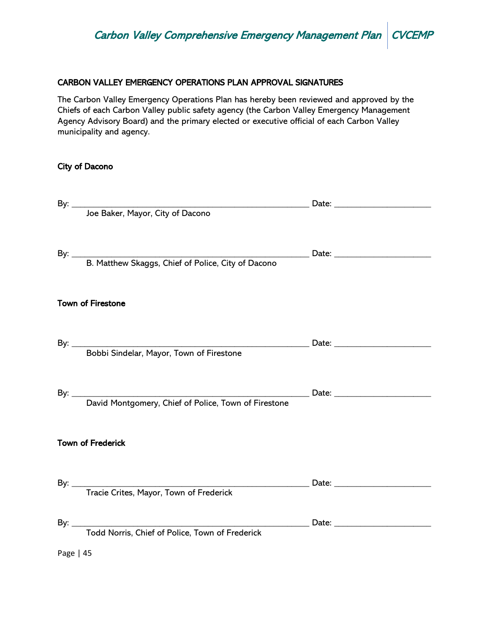## CARBON VALLEY EMERGENCY OPERATIONS PLAN APPROVAL SIGNATURES

The Carbon Valley Emergency Operations Plan has hereby been reviewed and approved by the Chiefs of each Carbon Valley public safety agency (the Carbon Valley Emergency Management Agency Advisory Board) and the primary elected or executive official of each Carbon Valley municipality and agency.

#### City of Dacono

|           | <b>Town of Firestone</b> |  |
|-----------|--------------------------|--|
|           |                          |  |
|           |                          |  |
|           | <b>Town of Frederick</b> |  |
|           |                          |  |
|           |                          |  |
| Page   45 |                          |  |